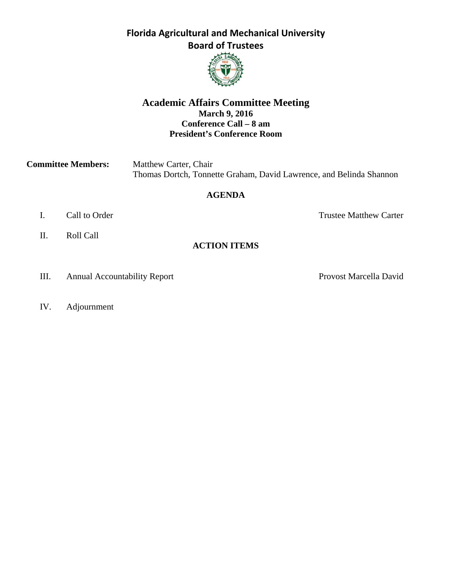#### **Florida Agricultural and Mechanical University Board of Trustees**



#### **Academic Affairs Committee Meeting March 9, 2016 Conference Call – 8 am President's Conference Room**

| <b>Committee Members:</b> | Matthew Carter, Chair                                               |
|---------------------------|---------------------------------------------------------------------|
|                           | Thomas Dortch, Tonnette Graham, David Lawrence, and Belinda Shannon |

#### **AGENDA**

- 
- II. Roll Call

I. Call to Order Trustee Matthew Carter

- **ACTION ITEMS**
- III. Annual Accountability Report Provost Marcella David
- IV. Adjournment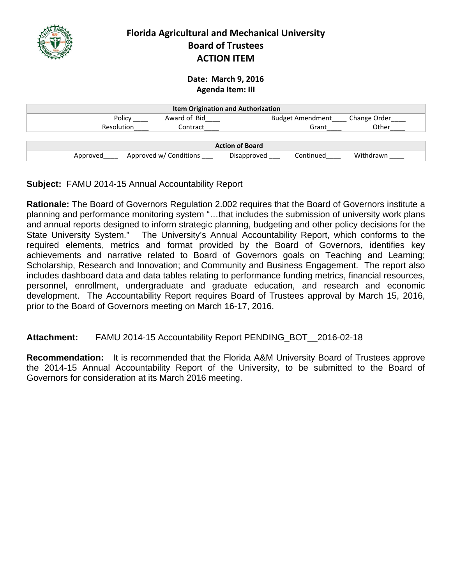

#### **Florida Agricultural and Mechanical University Board of Trustees ACTION ITEM**

#### **Date: March 9, 2016 Agenda Item: III**

| <b>Item Origination and Authorization</b> |             |                         |              |  |  |  |  |
|-------------------------------------------|-------------|-------------------------|--------------|--|--|--|--|
| Award of Bid<br>Policy                    |             | <b>Budget Amendment</b> | Change Order |  |  |  |  |
| Resolution<br>Contract                    | Grant       | Other                   |              |  |  |  |  |
|                                           |             |                         |              |  |  |  |  |
| <b>Action of Board</b>                    |             |                         |              |  |  |  |  |
| Approved w/ Conditions<br>Approved        | Disapproved | Continued               | Withdrawn    |  |  |  |  |

#### **Subject:** FAMU 2014-15 Annual Accountability Report

**Rationale:** The Board of Governors Regulation 2.002 requires that the Board of Governors institute a planning and performance monitoring system "…that includes the submission of university work plans and annual reports designed to inform strategic planning, budgeting and other policy decisions for the State University System." The University's Annual Accountability Report, which conforms to the required elements, metrics and format provided by the Board of Governors, identifies key achievements and narrative related to Board of Governors goals on Teaching and Learning; Scholarship, Research and Innovation; and Community and Business Engagement. The report also includes dashboard data and data tables relating to performance funding metrics, financial resources, personnel, enrollment, undergraduate and graduate education, and research and economic development. The Accountability Report requires Board of Trustees approval by March 15, 2016, prior to the Board of Governors meeting on March 16-17, 2016.

### **Attachment:** FAMU 2014-15 Accountability Report PENDING\_BOT\_\_2016-02-18

**Recommendation:** It is recommended that the Florida A&M University Board of Trustees approve the 2014-15 Annual Accountability Report of the University, to be submitted to the Board of Governors for consideration at its March 2016 meeting.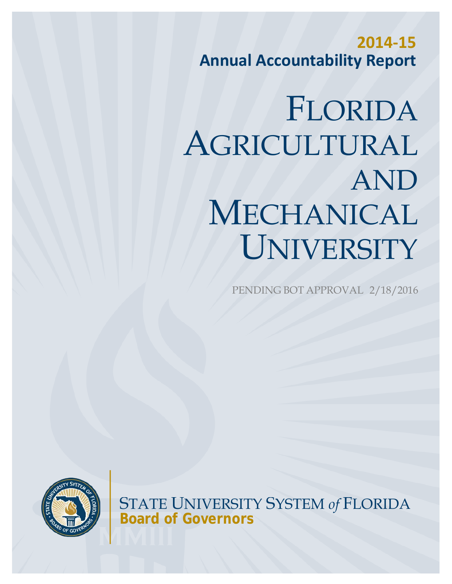**2014-15 Annual Accountability Report**

# FLORIDA AGRICULTURAL AND MECHANICAL UNIVERSITY

PENDING BOT APPROVAL 2/18/2016



STATE UNIVERSITY SYSTEM *of* FLORIDA **Board of Governors**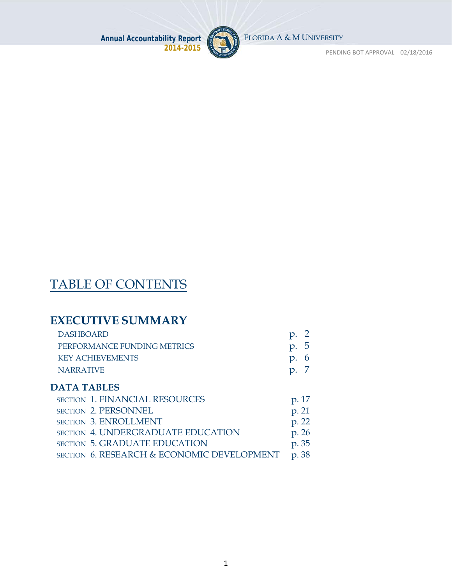

FLORIDA A & M UNIVERSITY

PENDING BOT APPROVAL 02/18/2016

# TABLE OF CONTENTS

# **EXECUTIVE SUMMARY**

| <b>DASHBOARD</b>            |                                 |
|-----------------------------|---------------------------------|
| PERFORMANCE FUNDING METRICS | p.5                             |
| <b>KEY ACHIEVEMENTS</b>     | p.6                             |
| <b>NARRATIVE</b>            | $\mathfrak{D}$ . $\mathfrak{D}$ |
|                             |                                 |

### **DATA TABLES**

| SECTION 1. FINANCIAL RESOURCES             | p. 17 |
|--------------------------------------------|-------|
| <b>SECTION 2. PERSONNEL</b>                | p. 21 |
| <b>SECTION 3. ENROLLMENT</b>               | p. 22 |
| <b>SECTION 4. UNDERGRADUATE EDUCATION</b>  | p. 26 |
| <b>SECTION 5. GRADUATE EDUCATION</b>       | p. 35 |
| SECTION 6. RESEARCH & ECONOMIC DEVELOPMENT | p. 38 |
|                                            |       |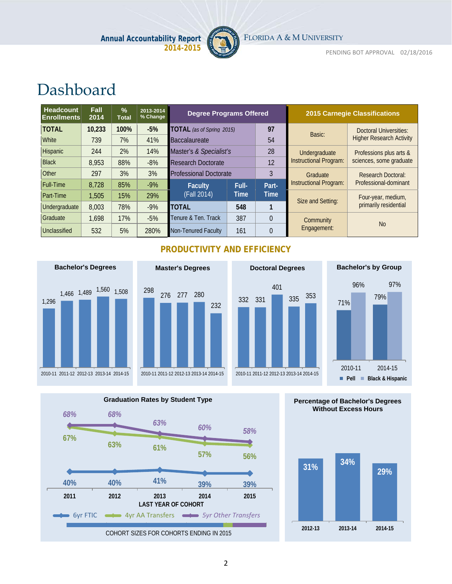

FLORIDA A & M UNIVERSITY

PENDING BOT APPROVAL 02/18/2016

# Dashboard

| <b>Headcount</b><br><b>Enrollments</b> | Fall<br>2014 | $\frac{9}{6}$<br><b>Total</b> | 2013-2014<br>% Change | <b>Degree Programs Offered</b>   |       |          |                        | <b>2015 Carnegie Classifications</b> |
|----------------------------------------|--------------|-------------------------------|-----------------------|----------------------------------|-------|----------|------------------------|--------------------------------------|
| <b>TOTAL</b>                           | 10,233       | 100%                          | $-5%$                 | <b>TOTAL</b> (as of Spring 2015) |       | 97       | Basic:                 | <b>Doctoral Universities:</b>        |
| <b>White</b>                           | 739          | 7%                            | 41%                   | <b>Baccalaureate</b>             |       | 54       |                        | <b>Higher Research Activity</b>      |
| <b>Hispanic</b>                        | 244          | 2%                            | 14%                   | Master's & Specialist's          |       | 28       | Undergraduate          | Professions plus arts &              |
| <b>Black</b>                           | 8,953        | 88%                           | $-8%$                 | <b>Research Doctorate</b>        |       | 12       | Instructional Program: | sciences, some graduate              |
| Other                                  | 297          | 3%                            | 3%                    | <b>Professional Doctorate</b>    |       | 3        | Graduate               | <b>Research Doctoral:</b>            |
| <b>Full-Time</b>                       | 8,728        | 85%                           | $-9%$                 | <b>Faculty</b>                   | Full- | Part-    | Instructional Program: | Professional-dominant                |
| <b>Part-Time</b>                       | 1,505        | 15%                           | 29%                   | (Fall 2014)                      | Time  | Time     | Size and Setting:      | Four-year, medium,                   |
| Undergraduate                          | 8,003        | 78%                           | $-9%$                 | <b>TOTAL</b>                     | 548   |          |                        | primarily residential                |
| Graduate                               | 1,698        | 17%                           | $-5%$                 | Tenure & Ten. Track              | 387   | $\Omega$ | Community              |                                      |
| Unclassified                           | 532          | 5%                            | 280%                  | Non-Tenured Faculty              | 161   | $\Omega$ | Engagement:            | N <sub>0</sub>                       |

#### **PRODUCTIVITY AND EFFICIENCY**









**Percentage of Bachelor's Degrees Without Excess Hours**

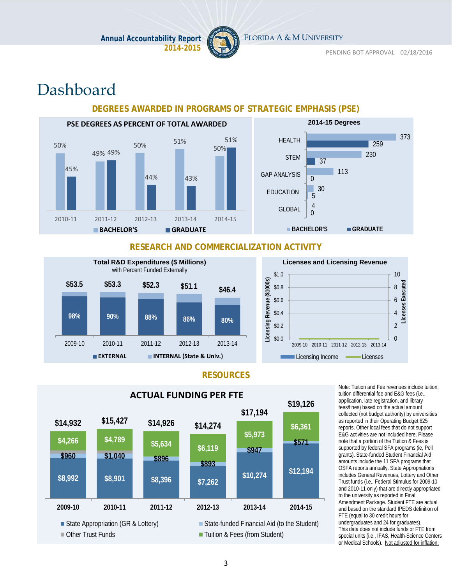

FLORIDA A & M UNIVERSITY

# Dashboard

#### **DEGREES AWARDED IN PROGRAMS OF STRATEGIC EMPHASIS (PSE)**





#### **RESEARCH AND COMMERCIALIZATION ACTIVITY**





#### **RESOURCES**



Note: Tuition and Fee revenues include tuition, tuition differential fee and E&G fees (i.e., application, late registration, and library fees/fines) based on the actual amount collected (not budget authority) by universities as reported in their Operating Budget 625 reports. Other local fees that do not support E&G activities are not included here. Please note that a portion of the Tuition & Fees is supported by federal SFA programs (ie, Pell grants). State-funded Student Financial Aid amounts include the 11 SFA programs that OSFA reports annually. State Appropriations includes General Revenues, Lottery and Other Trust funds (i.e., Federal Stimulus for 2009-10 and 2010-11 only) that are directly appropriated to the university as reported in Final Amendment Package. Student FTE are actual and based on the standard IPEDS definition of FTE (equal to 30 credit hours for undergraduates and 24 for graduates). This data does not include funds or FTE from special units (i.e., IFAS, Health-Science Centers or Medical Schools). Not adjusted for inflation.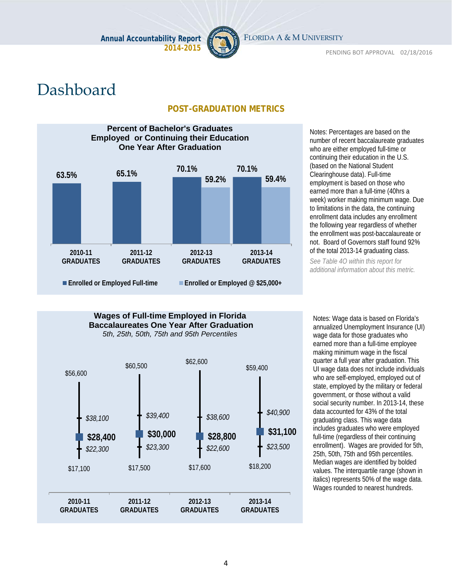

PENDING BOT APPROVAL 02/18/2016

# Dashboard

#### **POST-GRADUATION METRICS**



Notes: Percentages are based on the number of recent baccalaureate graduates who are either employed full-time or continuing their education in the U.S. (based on the National Student Clearinghouse data). Full-time employment is based on those who earned more than a full-time (40hrs a week) worker making minimum wage. Due to limitations in the data, the continuing enrollment data includes any enrollment the following year regardless of whether the enrollment was post-baccalaureate or not. Board of Governors staff found 92% of the total 2013-14 graduating class.

*See Table 4O within this report for additional information about this metric.* 

# *\$22,300 \$23,300 \$22,600 \$23,500* **\$28,400 \$30,000 \$28,800 \$31,100** *\$38,100 \$39,400 \$38,600 \$40,900* \$56,600  $$62,600$   $$59,400$ \$17,100 \$17,500 \$17,600 \$18,200 **2010-11 GRADUATES 2011-12 GRADUATES 2012-13 GRADUATES 2013-14 GRADUATES Wages of Full-time Employed in Florida Baccalaureates One Year After Graduation** *5th, 25th, 50th, 75th and 95th Percentiles*

Notes: Wage data is based on Florida's annualized Unemployment Insurance (UI) wage data for those graduates who earned more than a full-time employee making minimum wage in the fiscal quarter a full year after graduation. This UI wage data does not include individuals who are self-employed, employed out of state, employed by the military or federal government, or those without a valid social security number. In 2013-14, these data accounted for 43% of the total graduating class. This wage data includes graduates who were employed full-time (regardless of their continuing enrollment). Wages are provided for 5th, 25th, 50th, 75th and 95th percentiles. Median wages are identified by bolded values. The interquartile range (shown in italics) represents 50% of the wage data. Wages rounded to nearest hundreds.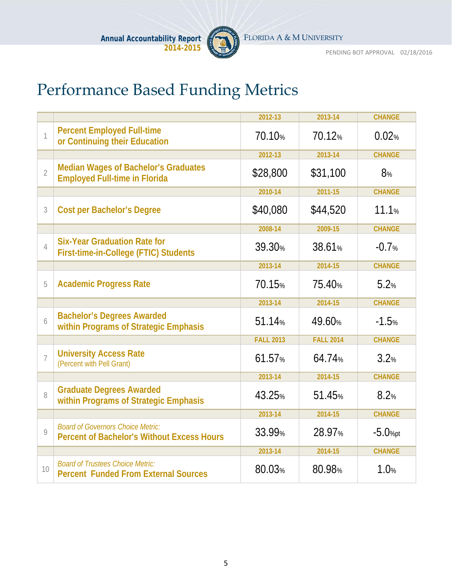

# Performance Based Funding Metrics

|                |                                                                                               | 2012-13            | 2013-14            | <b>CHANGE</b> |
|----------------|-----------------------------------------------------------------------------------------------|--------------------|--------------------|---------------|
| $\mathbf{1}$   | <b>Percent Employed Full-time</b><br>or Continuing their Education                            | 70.10%             | 70.12%             | 0.02%         |
|                |                                                                                               | 2012-13            | 2013-14            | <b>CHANGE</b> |
| $\overline{2}$ | <b>Median Wages of Bachelor's Graduates</b><br><b>Employed Full-time in Florida</b>           | \$28,800           | \$31,100           | 8%            |
|                |                                                                                               | 2010-14            | 2011-15            | <b>CHANGE</b> |
| 3              | <b>Cost per Bachelor's Degree</b>                                                             | \$40,080           | \$44,520           | 11.1%         |
|                |                                                                                               | 2008-14            | 2009-15            | <b>CHANGE</b> |
| $\overline{4}$ | <b>Six-Year Graduation Rate for</b><br>First-time-in-College (FTIC) Students                  | 39.30%             | 38.61%             | $-0.7%$       |
|                |                                                                                               | 2013-14            | 2014-15            | <b>CHANGE</b> |
| 5              | <b>Academic Progress Rate</b>                                                                 | 70.15%             | 75.40%             | 5.2%          |
|                |                                                                                               | 2013-14            | 2014-15            | <b>CHANGE</b> |
| 6              | <b>Bachelor's Degrees Awarded</b><br>within Programs of Strategic Emphasis                    | 51.14 <sub>%</sub> | 49.60%             | $-1.5%$       |
|                |                                                                                               | <b>FALL 2013</b>   | <b>FALL 2014</b>   | <b>CHANGE</b> |
| $\overline{7}$ | <b>University Access Rate</b><br>(Percent with Pell Grant)                                    | 61.57%             | 64.74%             | 3.2%          |
|                |                                                                                               | 2013-14            | 2014-15            | <b>CHANGE</b> |
| 8              | <b>Graduate Degrees Awarded</b><br>within Programs of Strategic Emphasis                      | 43.25%             | 51.45%             | 8.2%          |
|                |                                                                                               | 2013-14            | 2014-15            | <b>CHANGE</b> |
| $\mathsf{Q}$   | <b>Board of Governors Choice Metric:</b><br><b>Percent of Bachelor's Without Excess Hours</b> | 33.99 <sub>%</sub> | 28.97 <sub>%</sub> | $-5.0%pt$     |
|                |                                                                                               | 2013-14            | 2014-15            | <b>CHANGE</b> |
| 10             | <b>Board of Trustees Choice Metric:</b><br><b>Percent Funded From External Sources</b>        | 80.03%             | 80.98%             | 1.0%          |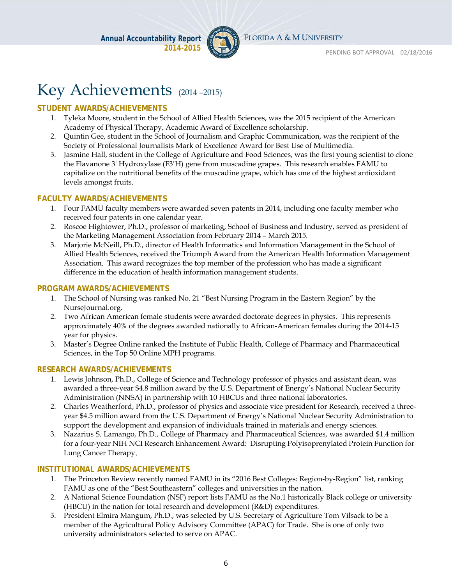

# Key Achievements (2014-2015)

#### **STUDENT AWARDS/ACHIEVEMENTS**

- 1. Tyleka Moore, student in the School of Allied Health Sciences, was the 2015 recipient of the American Academy of Physical Therapy, Academic Award of Excellence scholarship.
- 2. Quintin Gee, student in the School of Journalism and Graphic Communication, was the recipient of the Society of Professional Journalists Mark of Excellence Award for Best Use of Multimedia.
- 3. Jasmine Hall, student in the College of Agriculture and Food Sciences, was the first young scientist to clone the Flavanone 3' Hydroxylase (F3'H) gene from muscadine grapes. This research enables FAMU to capitalize on the nutritional benefits of the muscadine grape, which has one of the highest antioxidant levels amongst fruits.

#### **FACULTY AWARDS/ACHIEVEMENTS**

- 1. Four FAMU faculty members were awarded seven patents in 2014, including one faculty member who received four patents in one calendar year.
- 2. Roscoe Hightower, Ph.D., professor of marketing, School of Business and Industry, served as president of the Marketing Management Association from February 2014 – March 2015.
- 3. Marjorie McNeill, Ph.D., director of Health Informatics and Information Management in the School of Allied Health Sciences, received the Triumph Award from the American Health Information Management Association. This award recognizes the top member of the profession who has made a significant difference in the education of health information management students.

#### **PROGRAM AWARDS/ACHIEVEMENTS**

- 1. The School of Nursing was ranked No. 21 "Best Nursing Program in the Eastern Region" by the NurseJournal.org.
- 2. Two African American female students were awarded doctorate degrees in physics. This represents approximately 40% of the degrees awarded nationally to African-American females during the 2014-15 year for physics.
- 3. Master's Degree Online ranked the Institute of Public Health, College of Pharmacy and Pharmaceutical Sciences, in the Top 50 Online MPH programs.

#### **RESEARCH AWARDS/ACHIEVEMENTS**

- 1. Lewis Johnson, Ph.D., College of Science and Technology professor of physics and assistant dean, was awarded a three-year \$4.8 million award by the U.S. Department of Energy's National Nuclear Security Administration (NNSA) in partnership with 10 HBCUs and three national laboratories.
- 2. Charles Weatherford, Ph.D., professor of physics and associate vice president for Research, received a threeyear \$4.5 million award from the U.S. Department of Energy's National Nuclear Security Administration to support the development and expansion of individuals trained in materials and energy sciences.
- 3. Nazarius S. Lamango, Ph.D., College of Pharmacy and Pharmaceutical Sciences, was awarded \$1.4 million for a four-year NIH NCI Research Enhancement Award: Disrupting Polyisoprenylated Protein Function for Lung Cancer Therapy.

#### **INSTITUTIONAL AWARDS/ACHIEVEMENTS**

- 1. The Princeton Review recently named FAMU in its "2016 Best Colleges: Region-by-Region" list, ranking FAMU as one of the "Best Southeastern" colleges and universities in the nation.
- 2. A National Science Foundation (NSF) report lists FAMU as the No.1 historically Black college or university (HBCU) in the nation for total research and development (R&D) expenditures.
- 3. President Elmira Mangum, Ph.D., was selected by U.S. Secretary of Agriculture Tom Vilsack to be a member of the Agricultural Policy Advisory Committee (APAC) for Trade. She is one of only two university administrators selected to serve on APAC.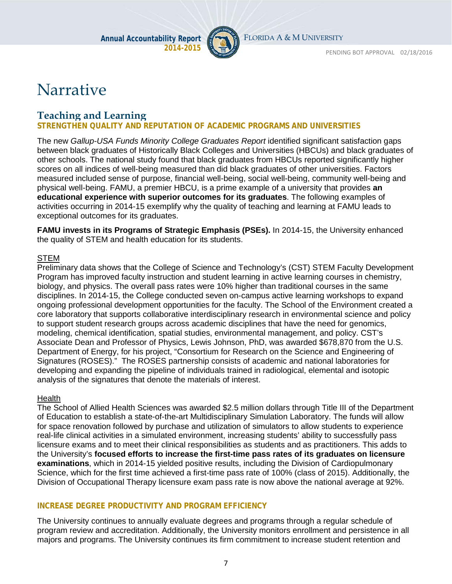

# Narrative

### **Teaching and Learning**

#### **STRENGTHEN QUALITY AND REPUTATION OF ACADEMIC PROGRAMS AND UNIVERSITIES**

The new *Gallup-USA Funds Minority College Graduates Report* identified significant satisfaction gaps between black graduates of Historically Black Colleges and Universities (HBCUs) and black graduates of other schools. The national study found that black graduates from HBCUs reported significantly higher scores on all indices of well-being measured than did black graduates of other universities. Factors measured included sense of purpose, financial well-being, social well-being, community well-being and physical well-being. FAMU, a premier HBCU, is a prime example of a university that provides **an educational experience with superior outcomes for its graduates**. The following examples of activities occurring in 2014-15 exemplify why the quality of teaching and learning at FAMU leads to exceptional outcomes for its graduates.

**FAMU invests in its Programs of Strategic Emphasis (PSEs).** In 2014-15, the University enhanced the quality of STEM and health education for its students.

#### **STEM**

Preliminary data shows that the College of Science and Technology's (CST) STEM Faculty Development Program has improved faculty instruction and student learning in active learning courses in chemistry, biology, and physics. The overall pass rates were 10% higher than traditional courses in the same disciplines. In 2014-15, the College conducted seven on-campus active learning workshops to expand ongoing professional development opportunities for the faculty. The School of the Environment created a core laboratory that supports collaborative interdisciplinary research in environmental science and policy to support student research groups across academic disciplines that have the need for genomics, modeling, chemical identification, spatial studies, environmental management, and policy. CST's Associate Dean and Professor of Physics, Lewis Johnson, PhD, was awarded \$678,870 from the U.S. Department of Energy, for his project, "Consortium for Research on the Science and Engineering of Signatures (ROSES)." The ROSES partnership consists of academic and national laboratories for developing and expanding the pipeline of individuals trained in radiological, elemental and isotopic analysis of the signatures that denote the materials of interest.

#### **Health**

The School of Allied Health Sciences was awarded \$2.5 million dollars through Title III of the Department of Education to establish a state-of-the-art Multidisciplinary Simulation Laboratory. The funds will allow for space renovation followed by purchase and utilization of simulators to allow students to experience real-life clinical activities in a simulated environment, increasing students' ability to successfully pass licensure exams and to meet their clinical responsibilities as students and as practitioners. This adds to the University's **focused efforts to increase the first-time pass rates of its graduates on licensure examinations**, which in 2014-15 yielded positive results, including the Division of Cardiopulmonary Science, which for the first time achieved a first-time pass rate of 100% (class of 2015). Additionally, the Division of Occupational Therapy licensure exam pass rate is now above the national average at 92%.

#### **INCREASE DEGREE PRODUCTIVITY AND PROGRAM EFFICIENCY**

The University continues to annually evaluate degrees and programs through a regular schedule of program review and accreditation. Additionally, the University monitors enrollment and persistence in all majors and programs. The University continues its firm commitment to increase student retention and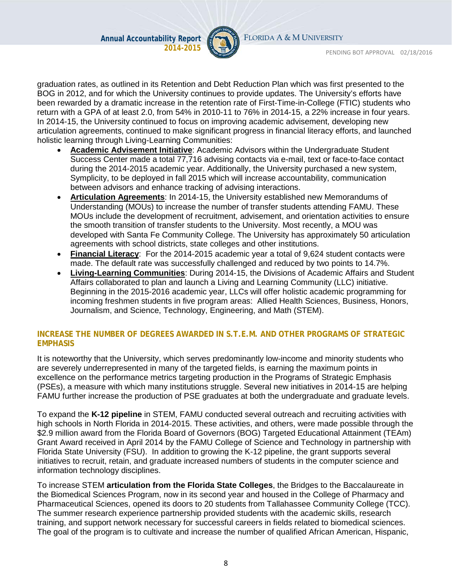

FLORIDA A & M UNIVERSITY

PENDING BOT APPROVAL 02/18/2016

graduation rates, as outlined in its Retention and Debt Reduction Plan which was first presented to the BOG in 2012, and for which the University continues to provide updates. The University's efforts have been rewarded by a dramatic increase in the retention rate of First-Time-in-College (FTIC) students who return with a GPA of at least 2.0, from 54% in 2010-11 to 76% in 2014-15, a 22% increase in four years. In 2014-15, the University continued to focus on improving academic advisement, developing new articulation agreements, continued to make significant progress in financial literacy efforts, and launched holistic learning through Living-Learning Communities:

- **Academic Advisement Initiative**: Academic Advisors within the Undergraduate Student Success Center made a total 77,716 advising contacts via e-mail, text or face-to-face contact during the 2014-2015 academic year. Additionally, the University purchased a new system, Symplicity, to be deployed in fall 2015 which will increase accountability, communication between advisors and enhance tracking of advising interactions.
- **Articulation Agreements**: In 2014-15, the University established new Memorandums of Understanding (MOUs) to increase the number of transfer students attending FAMU. These MOUs include the development of recruitment, advisement, and orientation activities to ensure the smooth transition of transfer students to the University. Most recently, a MOU was developed with Santa Fe Community College. The University has approximately 50 articulation agreements with school districts, state colleges and other institutions.
- **Financial Literacy**: For the 2014-2015 academic year a total of 9,624 student contacts were made. The default rate was successfully challenged and reduced by two points to 14.7%.
- **Living-Learning Communities**: During 2014-15, the Divisions of Academic Affairs and Student Affairs collaborated to plan and launch a Living and Learning Community (LLC) initiative. Beginning in the 2015-2016 academic year, LLCs will offer holistic academic programming for incoming freshmen students in five program areas: Allied Health Sciences, Business, Honors, Journalism, and Science, Technology, Engineering, and Math (STEM).

#### **INCREASE THE NUMBER OF DEGREES AWARDED IN S.T.E.M. AND OTHER PROGRAMS OF STRATEGIC EMPHASIS**

It is noteworthy that the University, which serves predominantly low-income and minority students who are severely underrepresented in many of the targeted fields, is earning the maximum points in excellence on the performance metrics targeting production in the Programs of Strategic Emphasis (PSEs), a measure with which many institutions struggle. Several new initiatives in 2014-15 are helping FAMU further increase the production of PSE graduates at both the undergraduate and graduate levels.

To expand the **K-12 pipeline** in STEM, FAMU conducted several outreach and recruiting activities with high schools in North Florida in 2014-2015. These activities, and others, were made possible through the \$2.9 million award from the Florida Board of Governors (BOG) Targeted Educational Attainment (TEAm) Grant Award received in April 2014 by the FAMU College of Science and Technology in partnership with Florida State University (FSU). In addition to growing the K-12 pipeline, the grant supports several initiatives to recruit, retain, and graduate increased numbers of students in the computer science and information technology disciplines.

To increase STEM **articulation from the Florida State Colleges**, the Bridges to the Baccalaureate in the Biomedical Sciences Program, now in its second year and housed in the College of Pharmacy and Pharmaceutical Sciences, opened its doors to 20 students from Tallahassee Community College (TCC). The summer research experience partnership provided students with the academic skills, research training, and support network necessary for successful careers in fields related to biomedical sciences. The goal of the program is to cultivate and increase the number of qualified African American, Hispanic,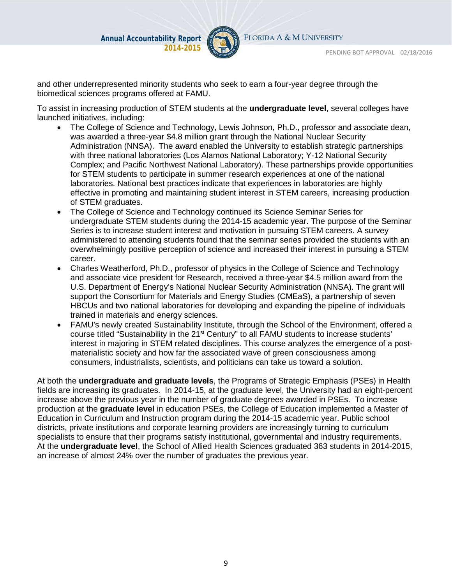

FLORIDA A & M UNIVERSITY

PENDING BOT APPROVAL 02/18/2016

and other underrepresented minority students who seek to earn a four-year degree through the biomedical sciences programs offered at FAMU.

To assist in increasing production of STEM students at the **undergraduate level**, several colleges have launched initiatives, including:

- The College of Science and Technology, Lewis Johnson, Ph.D., professor and associate dean, was awarded a three-year \$4.8 million grant through the National Nuclear Security Administration (NNSA). The award enabled the University to establish strategic partnerships with three national laboratories (Los Alamos National Laboratory; Y-12 National Security Complex; and Pacific Northwest National Laboratory). These partnerships provide opportunities for STEM students to participate in summer research experiences at one of the national laboratories. National best practices indicate that experiences in laboratories are highly effective in promoting and maintaining student interest in STEM careers, increasing production of STEM graduates.
- The College of Science and Technology continued its Science Seminar Series for undergraduate STEM students during the 2014-15 academic year. The purpose of the Seminar Series is to increase student interest and motivation in pursuing STEM careers. A survey administered to attending students found that the seminar series provided the students with an overwhelmingly positive perception of science and increased their interest in pursuing a STEM career.
- Charles Weatherford, Ph.D., professor of physics in the College of Science and Technology and associate vice president for Research, received a three-year \$4.5 million award from the U.S. Department of Energy's National Nuclear Security Administration (NNSA). The grant will support the Consortium for Materials and Energy Studies (CMEaS), a partnership of seven HBCUs and two national laboratories for developing and expanding the pipeline of individuals trained in materials and energy sciences.
- FAMU's newly created Sustainability Institute, through the School of the Environment, offered a course titled "Sustainability in the 21<sup>st</sup> Century" to all FAMU students to increase students' interest in majoring in STEM related disciplines. This course analyzes the emergence of a postmaterialistic society and how far the associated wave of green consciousness among consumers, industrialists, scientists, and politicians can take us toward a solution.

At both the **undergraduate and graduate levels**, the Programs of Strategic Emphasis (PSEs) in Health fields are increasing its graduates. In 2014-15, at the graduate level, the University had an eight-percent increase above the previous year in the number of graduate degrees awarded in PSEs. To increase production at the **graduate level** in education PSEs, the College of Education implemented a Master of Education in Curriculum and Instruction program during the 2014-15 academic year. Public school districts, private institutions and corporate learning providers are increasingly turning to curriculum specialists to ensure that their programs satisfy institutional, governmental and industry requirements. At the **undergraduate level**, the School of Allied Health Sciences graduated 363 students in 2014-2015, an increase of almost 24% over the number of graduates the previous year.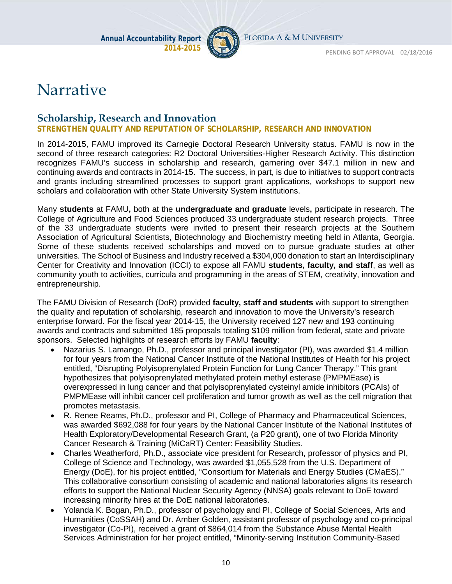

# Narrative

### **Scholarship, Research and Innovation**

**STRENGTHEN QUALITY AND REPUTATION OF SCHOLARSHIP, RESEARCH AND INNOVATION**

In 2014-2015, FAMU improved its Carnegie Doctoral Research University status. FAMU is now in the second of three research categories: R2 Doctoral Universities-Higher Research Activity. This distinction recognizes FAMU's success in scholarship and research, garnering over \$47.1 million in new and continuing awards and contracts in 2014-15. The success, in part, is due to initiatives to support contracts and grants including streamlined processes to support grant applications, workshops to support new scholars and collaboration with other State University System institutions.

Many **students** at FAMU**,** both at the **undergraduate and graduate** levels**,** participate in research. The College of Agriculture and Food Sciences produced 33 undergraduate student research projects. Three of the 33 undergraduate students were invited to present their research projects at the Southern Association of Agricultural Scientists, Biotechnology and Biochemistry meeting held in Atlanta, Georgia. Some of these students received scholarships and moved on to pursue graduate studies at other universities. The School of Business and Industry received a \$304,000 donation to start an Interdisciplinary Center for Creativity and Innovation (ICCI) to expose all FAMU **students, faculty, and staff**, as well as community youth to activities, curricula and programming in the areas of STEM, creativity, innovation and entrepreneurship.

The FAMU Division of Research (DoR) provided **faculty, staff and students** with support to strengthen the quality and reputation of scholarship, research and innovation to move the University's research enterprise forward. For the fiscal year 2014-15, the University received 127 new and 193 continuing awards and contracts and submitted 185 proposals totaling \$109 million from federal, state and private sponsors. Selected highlights of research efforts by FAMU **faculty**:

- Nazarius S. Lamango, Ph.D., professor and principal investigator (PI), was awarded \$1.4 million for four years from the National Cancer Institute of the National Institutes of Health for his project entitled, "Disrupting Polyisoprenylated Protein Function for Lung Cancer Therapy." This grant hypothesizes that polyisoprenylated methylated protein methyl esterase (PMPMEase) is overexpressed in lung cancer and that polyisoprenylated cysteinyl amide inhibitors (PCAIs) of PMPMEase will inhibit cancer cell proliferation and tumor growth as well as the cell migration that promotes metastasis.
- R. Renee Reams, Ph.D., professor and PI, College of Pharmacy and Pharmaceutical Sciences, was awarded \$692,088 for four years by the National Cancer Institute of the National Institutes of Health Exploratory/Developmental Research Grant, (a P20 grant), one of two Florida Minority Cancer Research & Training (MiCaRT) Center: Feasibility Studies.
- Charles Weatherford, Ph.D., associate vice president for Research, professor of physics and PI, College of Science and Technology, was awarded \$1,055,528 from the U.S. Department of Energy (DoE), for his project entitled, "Consortium for Materials and Energy Studies (CMaES)." This collaborative consortium consisting of academic and national laboratories aligns its research efforts to support the National Nuclear Security Agency (NNSA) goals relevant to DoE toward increasing minority hires at the DoE national laboratories.
- Yolanda K. Bogan, Ph.D., professor of psychology and PI, College of Social Sciences, Arts and Humanities (CoSSAH) and Dr. Amber Golden, assistant professor of psychology and co-principal investigator (Co-PI), received a grant of \$864,014 from the Substance Abuse Mental Health Services Administration for her project entitled, "Minority-serving Institution Community-Based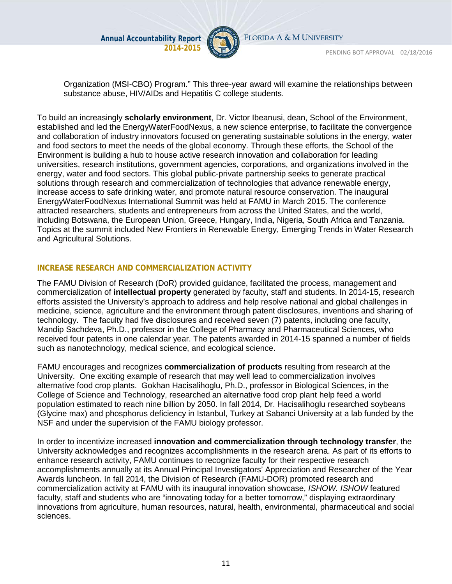

FLORIDA A & M UNIVERSITY

PENDING BOT APPROVAL 02/18/2016

Organization (MSI-CBO) Program." This three-year award will examine the relationships between substance abuse, HIV/AIDs and Hepatitis C college students.

To build an increasingly **scholarly environment**, Dr. Victor Ibeanusi, dean, School of the Environment, established and led the EnergyWaterFoodNexus, a new science enterprise, to facilitate the convergence and collaboration of industry innovators focused on generating sustainable solutions in the energy, water and food sectors to meet the needs of the global economy. Through these efforts, the School of the Environment is building a hub to house active research innovation and collaboration for leading universities, research institutions, government agencies, corporations, and organizations involved in the energy, water and food sectors. This global public-private partnership seeks to generate practical solutions through research and commercialization of technologies that advance renewable energy, increase access to safe drinking water, and promote natural resource conservation. The inaugural EnergyWaterFoodNexus International Summit was held at FAMU in March 2015. The conference attracted researchers, students and entrepreneurs from across the United States, and the world, including Botswana, the European Union, Greece, Hungary, India, Nigeria, South Africa and Tanzania. Topics at the summit included New Frontiers in Renewable Energy, Emerging Trends in Water Research and Agricultural Solutions.

#### **INCREASE RESEARCH AND COMMERCIALIZATION ACTIVITY**

The FAMU Division of Research (DoR) provided guidance, facilitated the process, management and commercialization of **intellectual property** generated by faculty, staff and students. In 2014-15, research efforts assisted the University's approach to address and help resolve national and global challenges in medicine, science, agriculture and the environment through patent disclosures, inventions and sharing of technology. The faculty had five disclosures and received seven (7) patents, including one faculty, Mandip Sachdeva, Ph.D., professor in the College of Pharmacy and Pharmaceutical Sciences, who received four patents in one calendar year. The patents awarded in 2014-15 spanned a number of fields such as nanotechnology, medical science, and ecological science.

FAMU encourages and recognizes **commercialization of products** resulting from research at the University. One exciting example of research that may well lead to commercialization involves alternative food crop plants. Gokhan Hacisalihoglu, Ph.D., professor in Biological Sciences, in the College of Science and Technology, researched an alternative food crop plant help feed a world population estimated to reach nine billion by 2050. In fall 2014, Dr. Hacisalihoglu researched soybeans (Glycine max) and phosphorus deficiency in Istanbul, Turkey at Sabanci University at a lab funded by the NSF and under the supervision of the FAMU biology professor.

In order to incentivize increased **innovation and commercialization through technology transfer**, the University acknowledges and recognizes accomplishments in the research arena. As part of its efforts to enhance research activity, FAMU continues to recognize faculty for their respective research accomplishments annually at its Annual Principal Investigators' Appreciation and Researcher of the Year Awards luncheon. In fall 2014, the Division of Research (FAMU-DOR) promoted research and commercialization activity at FAMU with its inaugural innovation showcase, *ISHOW. ISHOW* featured faculty, staff and students who are "innovating today for a better tomorrow," displaying extraordinary innovations from agriculture, human resources, natural, health, environmental, pharmaceutical and social sciences.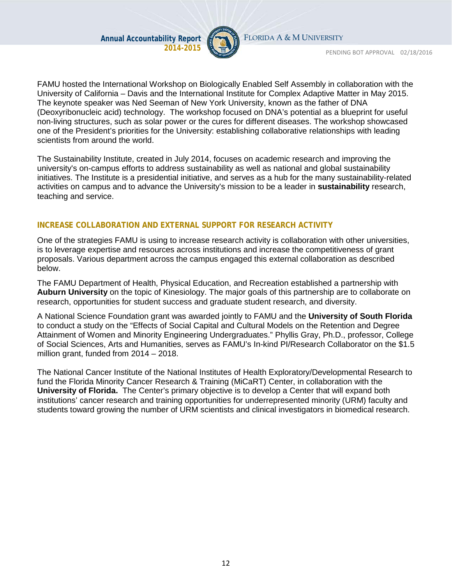

FLORIDA A & M UNIVERSITY

PENDING BOT APPROVAL 02/18/2016

FAMU hosted the International Workshop on Biologically Enabled Self Assembly in collaboration with the University of California – Davis and the International Institute for Complex Adaptive Matter in May 2015. The keynote speaker was Ned Seeman of New York University, known as the father of DNA (Deoxyribonucleic acid) technology. The workshop focused on DNA's potential as a blueprint for useful non-living structures, such as solar power or the cures for different diseases. The workshop showcased one of the President's priorities for the University: establishing collaborative relationships with leading scientists from around the world.

The Sustainability Institute, created in July 2014, focuses on academic research and improving the university's on-campus efforts to address sustainability as well as national and global sustainability initiatives. The Institute is a presidential initiative, and serves as a hub for the many sustainability-related activities on campus and to advance the University's mission to be a leader in **sustainability** research, teaching and service.

#### **INCREASE COLLABORATION AND EXTERNAL SUPPORT FOR RESEARCH ACTIVITY**

One of the strategies FAMU is using to increase research activity is collaboration with other universities, is to leverage expertise and resources across institutions and increase the competitiveness of grant proposals. Various department across the campus engaged this external collaboration as described below.

The FAMU Department of Health, Physical Education, and Recreation established a partnership with **Auburn University** on the topic of Kinesiology. The major goals of this partnership are to collaborate on research, opportunities for student success and graduate student research, and diversity.

A National Science Foundation grant was awarded jointly to FAMU and the **University of South Florida**  to conduct a study on the "Effects of Social Capital and Cultural Models on the Retention and Degree Attainment of Women and Minority Engineering Undergraduates." Phyllis Gray, Ph.D., professor, College of Social Sciences, Arts and Humanities, serves as FAMU's In-kind PI/Research Collaborator on the \$1.5 million grant, funded from 2014 – 2018.

The National Cancer Institute of the National Institutes of Health Exploratory/Developmental Research to fund the Florida Minority Cancer Research & Training (MiCaRT) Center, in collaboration with the **University of Florida.** The Center's primary objective is to develop a Center that will expand both institutions' cancer research and training opportunities for underrepresented minority (URM) faculty and students toward growing the number of URM scientists and clinical investigators in biomedical research.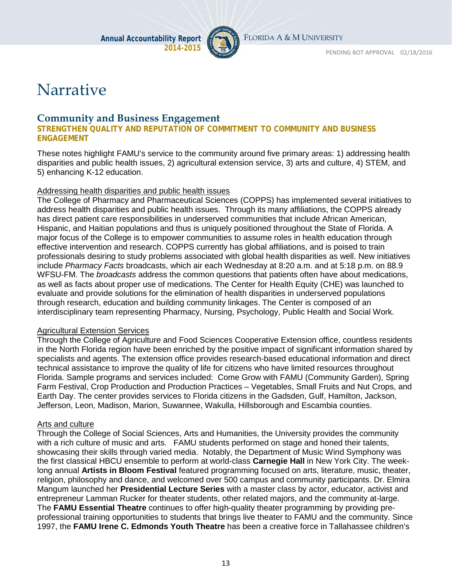

# Narrative

#### **Community and Business Engagement**

**STRENGTHEN QUALITY AND REPUTATION OF COMMITMENT TO COMMUNITY AND BUSINESS ENGAGEMENT**

These notes highlight FAMU's service to the community around five primary areas: 1) addressing health disparities and public health issues, 2) agricultural extension service, 3) arts and culture, 4) STEM, and 5) enhancing K-12 education.

#### Addressing health disparities and public health issues

The College of Pharmacy and Pharmaceutical Sciences (COPPS) has implemented several initiatives to address health disparities and public health issues. Through its many affiliations, the COPPS already has direct patient care responsibilities in underserved communities that include African American, Hispanic, and Haitian populations and thus is uniquely positioned throughout the State of Florida. A major focus of the College is to empower communities to assume roles in health education through effective intervention and research. COPPS currently has global affiliations, and is poised to train professionals desiring to study problems associated with global health disparities as well. New initiatives include *Pharmacy Facts* broadcasts, which air each Wednesday at 8:20 a.m. and at 5:18 p.m. on 88.9 WFSU-FM. The *broadcasts* address the common questions that patients often have about medications, as well as facts about proper use of medications. The Center for Health Equity (CHE) was launched to evaluate and provide solutions for the elimination of health disparities in underserved populations through research, education and building community linkages. The Center is composed of an interdisciplinary team representing Pharmacy, Nursing, Psychology, Public Health and Social Work.

#### Agricultural Extension Services

Through the College of Agriculture and Food Sciences Cooperative Extension office, countless residents in the North Florida region have been enriched by the positive impact of significant information shared by specialists and agents. The extension office provides research-based educational information and direct technical assistance to improve the quality of life for citizens who have limited resources throughout Florida. Sample programs and services included: Come Grow with FAMU (Community Garden), Spring Farm Festival, Crop Production and Production Practices – Vegetables, Small Fruits and Nut Crops, and Earth Day. The center provides services to Florida citizens in the Gadsden, Gulf, Hamilton, Jackson, Jefferson, Leon, Madison, Marion, Suwannee, Wakulla, Hillsborough and Escambia counties.

#### Arts and culture

Through the College of Social Sciences, Arts and Humanities, the University provides the community with a rich culture of music and arts. FAMU students performed on stage and honed their talents, showcasing their skills through varied media. Notably, the Department of Music Wind Symphony was the first classical HBCU ensemble to perform at world-class **Carnegie Hall** in New York City. The weeklong annual **Artists in Bloom Festival** featured programming focused on arts, literature, music, theater, religion, philosophy and dance, and welcomed over 500 campus and community participants. Dr. Elmira Mangum launched her **Presidential Lecture Series** with a master class by actor, educator, activist and entrepreneur Lamman Rucker for theater students, other related majors, and the community at-large. The **FAMU Essential Theatre** continues to offer high-quality theater programming by providing preprofessional training opportunities to students that brings live theater to FAMU and the community. Since 1997, the **FAMU Irene C. Edmonds Youth Theatre** has been a creative force in Tallahassee children's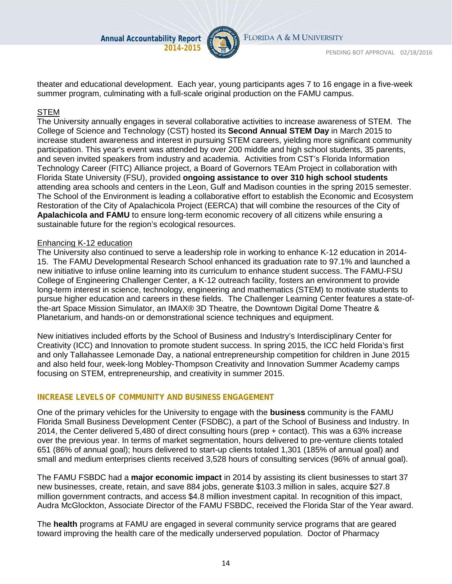

FLORIDA A & M UNIVERSITY

theater and educational development. Each year, young participants ages 7 to 16 engage in a five-week summer program, culminating with a full-scale original production on the FAMU campus.

#### STEM

The University annually engages in several collaborative activities to increase awareness of STEM. The College of Science and Technology (CST) hosted its **Second Annual STEM Day** in March 2015 to increase student awareness and interest in pursuing STEM careers, yielding more significant community participation. This year's event was attended by over 200 middle and high school students, 35 parents, and seven invited speakers from industry and academia. Activities from CST's Florida Information Technology Career (FITC) Alliance project, a Board of Governors TEAm Project in collaboration with Florida State University (FSU), provided **ongoing assistance to over 310 high school students** attending area schools and centers in the Leon, Gulf and Madison counties in the spring 2015 semester. The School of the Environment is leading a collaborative effort to establish the Economic and Ecosystem Restoration of the City of Apalachicola Project (EERCA) that will combine the resources of the City of **Apalachicola and FAMU** to ensure long-term economic recovery of all citizens while ensuring a sustainable future for the region's ecological resources.

#### Enhancing K-12 education

The University also continued to serve a leadership role in working to enhance K-12 education in 2014- 15. The FAMU Developmental Research School enhanced its graduation rate to 97.1% and launched a new initiative to infuse online learning into its curriculum to enhance student success. The FAMU-FSU College of Engineering Challenger Center, a K-12 outreach facility, fosters an environment to provide long-term interest in science, technology, engineering and mathematics (STEM) to motivate students to pursue higher education and careers in these fields. The Challenger Learning Center features a state-ofthe-art Space Mission Simulator, an IMAX® 3D Theatre, the Downtown Digital Dome Theatre & Planetarium, and hands-on or demonstrational science techniques and equipment.

New initiatives included efforts by the School of Business and Industry's Interdisciplinary Center for Creativity (ICC) and Innovation to promote student success. In spring 2015, the ICC held Florida's first and only Tallahassee Lemonade Day, a national entrepreneurship competition for children in June 2015 and also held four, week-long Mobley-Thompson Creativity and Innovation Summer Academy camps focusing on STEM, entrepreneurship, and creativity in summer 2015.

#### **INCREASE LEVELS OF COMMUNITY AND BUSINESS ENGAGEMENT**

One of the primary vehicles for the University to engage with the **business** community is the FAMU Florida Small Business Development Center (FSDBC), a part of the School of Business and Industry. In 2014, the Center delivered 5,480 of direct consulting hours (prep + contact). This was a 63% increase over the previous year. In terms of market segmentation, hours delivered to pre-venture clients totaled 651 (86% of annual goal); hours delivered to start-up clients totaled 1,301 (185% of annual goal) and small and medium enterprises clients received 3,528 hours of consulting services (96% of annual goal).

The FAMU FSBDC had a **major economic impact** in 2014 by assisting its client businesses to start 37 new businesses, create, retain, and save 884 jobs, generate \$103.3 million in sales, acquire \$27.8 million government contracts, and access \$4.8 million investment capital. In recognition of this impact, Audra McGlockton, Associate Director of the FAMU FSBDC, received the Florida Star of the Year award.

The **health** programs at FAMU are engaged in several community service programs that are geared toward improving the health care of the medically underserved population. Doctor of Pharmacy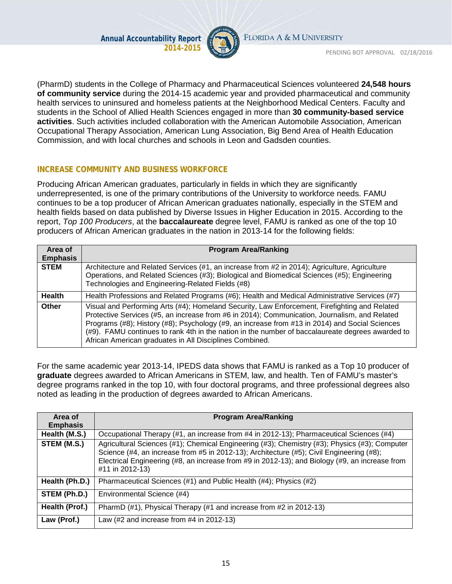

FLORIDA A & M UNIVERSITY

PENDING BOT APPROVAL 02/18/2016

(PharmD) students in the College of Pharmacy and Pharmaceutical Sciences volunteered **24,548 hours of community service** during the 2014-15 academic year and provided pharmaceutical and community health services to uninsured and homeless patients at the Neighborhood Medical Centers. Faculty and students in the School of Allied Health Sciences engaged in more than **30 community-based service activities**. Such activities included collaboration with the American Automobile Association, American Occupational Therapy Association, American Lung Association, Big Bend Area of Health Education Commission, and with local churches and schools in Leon and Gadsden counties.

#### **INCREASE COMMUNITY AND BUSINESS WORKFORCE**

Producing African American graduates, particularly in fields in which they are significantly underrepresented, is one of the primary contributions of the University to workforce needs. FAMU continues to be a top producer of African American graduates nationally, especially in the STEM and health fields based on data published by Diverse Issues in Higher Education in 2015. According to the report, *Top 100 Producers*, at the **baccalaureate** degree level, FAMU is ranked as one of the top 10 producers of African American graduates in the nation in 2013-14 for the following fields:

| Area of<br><b>Emphasis</b> | <b>Program Area/Ranking</b>                                                                                                                                                                                                                                                                                                                                                                                                                                     |
|----------------------------|-----------------------------------------------------------------------------------------------------------------------------------------------------------------------------------------------------------------------------------------------------------------------------------------------------------------------------------------------------------------------------------------------------------------------------------------------------------------|
| <b>STEM</b>                | Architecture and Related Services (#1, an increase from #2 in 2014); Agriculture, Agriculture<br>Operations, and Related Sciences (#3); Biological and Biomedical Sciences (#5); Engineering<br>Technologies and Engineering-Related Fields (#8)                                                                                                                                                                                                                |
| <b>Health</b>              | Health Professions and Related Programs (#6); Health and Medical Administrative Services (#7)                                                                                                                                                                                                                                                                                                                                                                   |
| Other                      | Visual and Performing Arts (#4); Homeland Security, Law Enforcement, Firefighting and Related<br>Protective Services (#5, an increase from #6 in 2014); Communication, Journalism, and Related<br>Programs (#8); History (#8); Psychology (#9, an increase from #13 in 2014) and Social Sciences<br>(#9). FAMU continues to rank 4th in the nation in the number of baccalaureate degrees awarded to<br>African American graduates in All Disciplines Combined. |

For the same academic year 2013-14, IPEDS data shows that FAMU is ranked as a Top 10 producer of **graduate** degrees awarded to African Americans in STEM, law, and health. Ten of FAMU's master's degree programs ranked in the top 10, with four doctoral programs, and three professional degrees also noted as leading in the production of degrees awarded to African Americans.

| Area of         | <b>Program Area/Ranking</b>                                                                                                                                                                                                                                                                                    |
|-----------------|----------------------------------------------------------------------------------------------------------------------------------------------------------------------------------------------------------------------------------------------------------------------------------------------------------------|
| <b>Emphasis</b> |                                                                                                                                                                                                                                                                                                                |
| Health (M.S.)   | Occupational Therapy (#1, an increase from #4 in 2012-13); Pharmaceutical Sciences (#4)                                                                                                                                                                                                                        |
| STEM (M.S.)     | Agricultural Sciences (#1); Chemical Engineering (#3); Chemistry (#3); Physics (#3); Computer<br>Science (#4, an increase from #5 in 2012-13); Architecture (#5); Civil Engineering (#8);<br>Electrical Engineering (#8, an increase from #9 in 2012-13); and Biology (#9, an increase from<br>#11 in 2012-13) |
| Health (Ph.D.)  | Pharmaceutical Sciences (#1) and Public Health (#4); Physics (#2)                                                                                                                                                                                                                                              |
| STEM (Ph.D.)    | Environmental Science (#4)                                                                                                                                                                                                                                                                                     |
| Health (Prof.)  | PharmD (#1), Physical Therapy (#1 and increase from #2 in 2012-13)                                                                                                                                                                                                                                             |
| Law (Prof.)     | Law $(\#2 \text{ and increase from } \#4 \text{ in } 2012-13)$                                                                                                                                                                                                                                                 |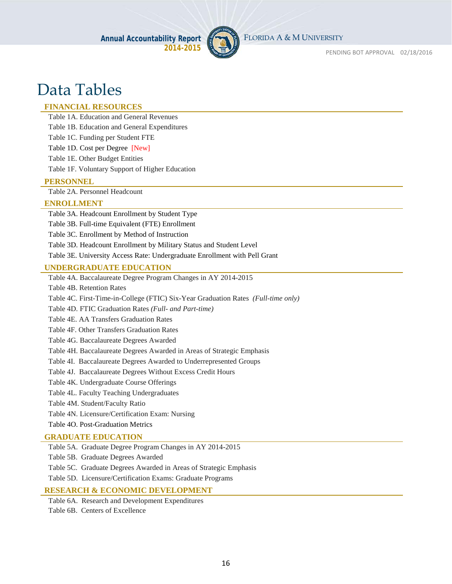

# Data Tables

#### **FINANCIAL RESOURCES**

Table 1A. Education and General Revenues

Table 1B. Education and General Expenditures

Table 1C. Funding per Student FTE

Table 1D. Cost per Degree [New]

Table 1E. Other Budget Entities

Table 1F. Voluntary Support of Higher Education

#### **PERSONNEL**

Table 2A. Personnel Headcount

#### **ENROLLMENT**

Table 3A. Headcount Enrollment by Student Type

Table 3B. Full-time Equivalent (FTE) Enrollment

Table 3C. Enrollment by Method of Instruction

Table 3D. Headcount Enrollment by Military Status and Student Level

Table 3E. University Access Rate: Undergraduate Enrollment with Pell Grant

#### **UNDERGRADUATE EDUCATION**

Table 4A. Baccalaureate Degree Program Changes in AY 2014-2015

Table 4B. Retention Rates

Table 4C. First-Time-in-College (FTIC) Six-Year Graduation Rates *(Full-time only)*

Table 4D. FTIC Graduation Rates *(Full- and Part-time)*

Table 4E. AA Transfers Graduation Rates

Table 4F. Other Transfers Graduation Rates

Table 4G. Baccalaureate Degrees Awarded

Table 4H. Baccalaureate Degrees Awarded in Areas of Strategic Emphasis

Table 4I. Baccalaureate Degrees Awarded to Underrepresented Groups

Table 4J. Baccalaureate Degrees Without Excess Credit Hours

Table 4K. Undergraduate Course Offerings

Table 4L. Faculty Teaching Undergraduates

Table 4M. Student/Faculty Ratio

Table 4N. Licensure/Certification Exam: Nursing

Table 4O. Post-Graduation Metrics

#### **GRADUATE EDUCATION**

Table 5A. Graduate Degree Program Changes in AY 2014-2015

Table 5B. Graduate Degrees Awarded

Table 5C. Graduate Degrees Awarded in Areas of Strategic Emphasis

Table 5D. Licensure/Certification Exams: Graduate Programs

#### **RESEARCH & ECONOMIC DEVELOPMENT**

Table 6A. Research and Development Expenditures

Table 6B. Centers of Excellence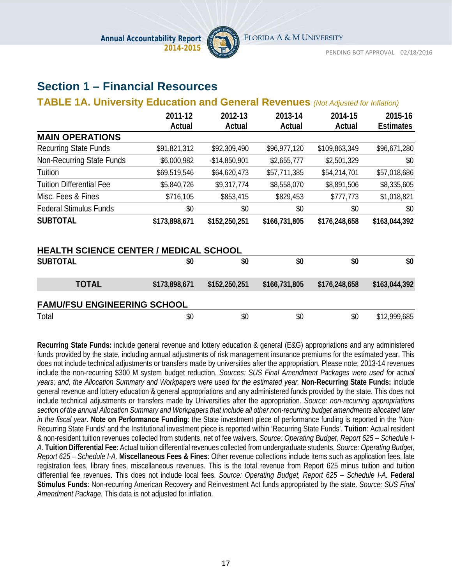

# **Section 1 – Financial Resources**

#### **TABLE 1A. University Education and General Revenues** *(Not Adjusted for Inflation)*

|                                               | 2011-12<br>Actual | 2012-13<br>Actual | 2013-14<br>Actual | 2014-15<br>Actual | 2015-16<br><b>Estimates</b> |
|-----------------------------------------------|-------------------|-------------------|-------------------|-------------------|-----------------------------|
| <b>MAIN OPERATIONS</b>                        |                   |                   |                   |                   |                             |
| <b>Recurring State Funds</b>                  | \$91,821,312      | \$92,309,490      | \$96,977,120      | \$109,863,349     | \$96,671,280                |
| Non-Recurring State Funds                     | \$6,000,982       | $-$14,850,901$    | \$2,655,777       | \$2,501,329       | \$0                         |
| Tuition                                       | \$69,519,546      | \$64,620,473      | \$57,711,385      | \$54,214,701      | \$57,018,686                |
| <b>Tuition Differential Fee</b>               | \$5,840,726       | \$9,317,774       | \$8,558,070       | \$8,891,506       | \$8,335,605                 |
| Misc. Fees & Fines                            | \$716,105         | \$853,415         | \$829,453         | \$777,773         | \$1,018,821                 |
| <b>Federal Stimulus Funds</b>                 | \$0               | \$0               | \$0               | \$0               | \$0                         |
| <b>SUBTOTAL</b>                               | \$173,898,671     | \$152,250,251     | \$166,731,805     | \$176,248,658     | \$163,044,392               |
| <b>HEALTH SCIENCE CENTER / MEDICAL SCHOOL</b> |                   |                   |                   |                   |                             |
| <b>SUBTOTAL</b>                               | \$0               | \$0               | \$0               | \$0               | \$0                         |
| <b>TOTAL</b>                                  | \$173,898,671     | \$152,250,251     | \$166,731,805     | \$176,248,658     | \$163,044,392               |
| <b>FAMU/FSU ENGINEERING SCHOOL</b>            |                   |                   |                   |                   |                             |
| Total                                         | \$0               | \$0               | \$0               | \$0               | \$12,999,685                |

**Recurring State Funds:** include general revenue and lottery education & general (E&G) appropriations and any administered funds provided by the state, including annual adjustments of risk management insurance premiums for the estimated year. This does not include technical adjustments or transfers made by universities after the appropriation. Please note: 2013-14 revenues include the non-recurring \$300 M system budget reduction. *Sources: SUS Final Amendment Packages were used for actual years; and, the Allocation Summary and Workpapers were used for the estimated year.* **Non-Recurring State Funds:** include general revenue and lottery education & general appropriations and any administered funds provided by the state. This does not include technical adjustments or transfers made by Universities after the appropriation. *Source: non-recurring appropriations section of the annual Allocation Summary and Workpapers that include all other non-recurring budget amendments allocated later in the fiscal year.* **Note on Performance Funding**: the State investment piece of performance funding is reported in the 'Non-Recurring State Funds' and the Institutional investment piece is reported within 'Recurring State Funds'. **Tuition**: Actual resident & non-resident tuition revenues collected from students, net of fee waivers. *Source: Operating Budget, Report 625 – Schedule I-A.* **Tuition Differential Fee**: Actual tuition differential revenues collected from undergraduate students. *Source: Operating Budget, Report 625 – Schedule I-A.* **Miscellaneous Fees & Fines**: Other revenue collections include items such as application fees, late registration fees, library fines, miscellaneous revenues. This is the total revenue from Report 625 minus tuition and tuition differential fee revenues. This does not include local fees. *Source: Operating Budget, Report 625 – Schedule I-A.* **Federal Stimulus Funds**: Non-recurring American Recovery and Reinvestment Act funds appropriated by the state. *Source: SUS Final Amendment Package.* This data is not adjusted for inflation.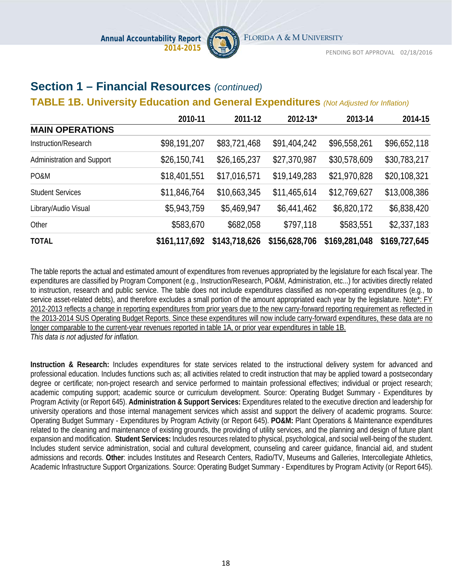

### **Section 1 – Financial Resources** *(continued)*

#### **TABLE 1B. University Education and General Expenditures** *(Not Adjusted for Inflation)*

|                            | 2010-11       | 2011-12       | 2012-13*      | 2013-14       | 2014-15       |
|----------------------------|---------------|---------------|---------------|---------------|---------------|
| <b>MAIN OPERATIONS</b>     |               |               |               |               |               |
| Instruction/Research       | \$98,191,207  | \$83,721,468  | \$91,404,242  | \$96,558,261  | \$96,652,118  |
| Administration and Support | \$26,150,741  | \$26,165,237  | \$27,370,987  | \$30,578,609  | \$30,783,217  |
| PO&M                       | \$18,401,551  | \$17,016,571  | \$19,149,283  | \$21,970,828  | \$20,108,321  |
| <b>Student Services</b>    | \$11,846,764  | \$10,663,345  | \$11,465,614  | \$12,769,627  | \$13,008,386  |
| Library/Audio Visual       | \$5,943,759   | \$5,469,947   | \$6,441,462   | \$6,820,172   | \$6,838,420   |
| Other                      | \$583,670     | \$682,058     | \$797,118     | \$583,551     | \$2,337,183   |
| <b>TOTAL</b>               | \$161,117,692 | \$143,718,626 | \$156,628,706 | \$169,281,048 | \$169,727,645 |

The table reports the actual and estimated amount of expenditures from revenues appropriated by the legislature for each fiscal year. The expenditures are classified by Program Component (e.g., Instruction/Research, PO&M, Administration, etc...) for activities directly related to instruction, research and public service. The table does not include expenditures classified as non-operating expenditures (e.g., to service asset-related debts), and therefore excludes a small portion of the amount appropriated each year by the legislature. Note\*: FY 2012-2013 reflects a change in reporting expenditures from prior years due to the new carry-forward reporting requirement as reflected in the 2013-2014 SUS Operating Budget Reports. Since these expenditures will now include carry-forward expenditures, these data are no longer comparable to the current-year revenues reported in table 1A, or prior year expenditures in table 1B. *This data is not adjusted for inflation.*

**Instruction & Research:** Includes expenditures for state services related to the instructional delivery system for advanced and professional education. Includes functions such as; all activities related to credit instruction that may be applied toward a postsecondary degree or certificate; non-project research and service performed to maintain professional effectives; individual or project research; academic computing support; academic source or curriculum development. Source: Operating Budget Summary - Expenditures by Program Activity (or Report 645). **Administration & Support Services:** Expenditures related to the executive direction and leadership for university operations and those internal management services which assist and support the delivery of academic programs. Source: Operating Budget Summary - Expenditures by Program Activity (or Report 645). **PO&M:** Plant Operations & Maintenance expenditures related to the cleaning and maintenance of existing grounds, the providing of utility services, and the planning and design of future plant expansion and modification. **Student Services:** Includes resources related to physical, psychological, and social well-being of the student. Includes student service administration, social and cultural development, counseling and career guidance, financial aid, and student admissions and records. **Other**: includes Institutes and Research Centers, Radio/TV, Museums and Galleries, Intercollegiate Athletics, Academic Infrastructure Support Organizations. Source: Operating Budget Summary - Expenditures by Program Activity (or Report 645).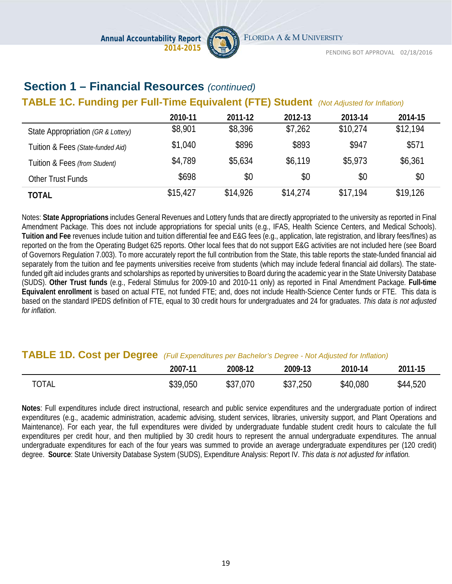

# **Section 1 – Financial Resources** *(continued)*

### **TABLE 1C. Funding per Full-Time Equivalent (FTE) Student** *(Not Adjusted for Inflation)*

|                                    | 2010-11  | 2011-12  | 2012-13  | 2013-14  | 2014-15  |
|------------------------------------|----------|----------|----------|----------|----------|
| State Appropriation (GR & Lottery) | \$8,901  | \$8,396  | \$7,262  | \$10,274 | \$12,194 |
| Tuition & Fees (State-funded Aid)  | \$1,040  | \$896    | \$893    | \$947    | \$571    |
| Tuition & Fees (from Student)      | \$4,789  | \$5,634  | \$6,119  | \$5,973  | \$6,361  |
| Other Trust Funds                  | \$698    | \$0      | \$0      | \$0      | \$0      |
| TOTAL                              | \$15,427 | \$14,926 | \$14,274 | \$17,194 | \$19,126 |

Notes: **State Appropriations** includes General Revenues and Lottery funds that are directly appropriated to the university as reported in Final Amendment Package. This does not include appropriations for special units (e.g., IFAS, Health Science Centers, and Medical Schools). **Tuition and Fee** revenues include tuition and tuition differential fee and E&G fees (e.g., application, late registration, and library fees/fines) as reported on the from the Operating Budget 625 reports. Other local fees that do not support E&G activities are not included here (see Board of Governors Regulation 7.003). To more accurately report the full contribution from the State, this table reports the state-funded financial aid separately from the tuition and fee payments universities receive from students (which may include federal financial aid dollars). The statefunded gift aid includes grants and scholarships as reported by universities to Board during the academic year in the State University Database (SUDS). **Other Trust funds** (e.g., Federal Stimulus for 2009-10 and 2010-11 only) as reported in Final Amendment Package. **Full-time Equivalent enrollment** is based on actual FTE, not funded FTE; and, does not include Health-Science Center funds or FTE. This data is based on the standard IPEDS definition of FTE, equal to 30 credit hours for undergraduates and 24 for graduates. *This data is not adjusted for inflation.*

#### **TABLE 1D. Cost per Degree** *(Full Expenditures per Bachelor's Degree - Not Adjusted for Inflation)*

|              | 2007-11  | 2008-12  | 2009-13  | 2010-14  | 2011-15  |
|--------------|----------|----------|----------|----------|----------|
| <b>TOTAL</b> | \$39,050 | \$37,070 | \$37,250 | \$40,080 | \$44,520 |

**Notes**: Full expenditures include direct instructional, research and public service expenditures and the undergraduate portion of indirect expenditures (e.g., academic administration, academic advising, student services, libraries, university support, and Plant Operations and Maintenance). For each year, the full expenditures were divided by undergraduate fundable student credit hours to calculate the full expenditures per credit hour, and then multiplied by 30 credit hours to represent the annual undergraduate expenditures. The annual undergraduate expenditures for each of the four years was summed to provide an average undergraduate expenditures per (120 credit) degree. **Source**: State University Database System (SUDS), Expenditure Analysis: Report IV. *This data is not adjusted for inflation.*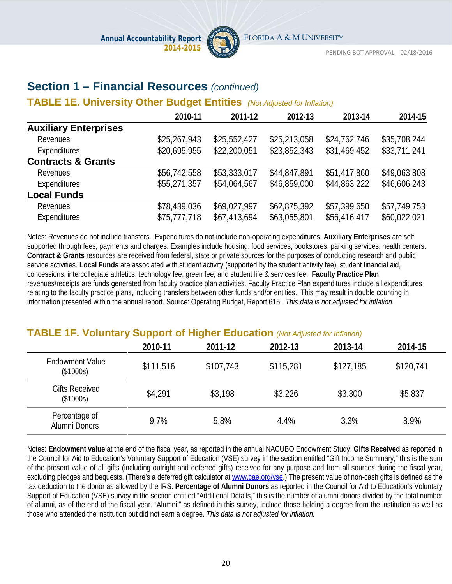

# **Section 1 – Financial Resources** *(continued)*

#### **TABLE 1E. University Other Budget Entities** *(Not Adjusted for Inflation)*

|                               | 2010-11      | 2011-12      | 2012-13      | 2013-14      | 2014-15      |
|-------------------------------|--------------|--------------|--------------|--------------|--------------|
| <b>Auxiliary Enterprises</b>  |              |              |              |              |              |
| Revenues                      | \$25,267,943 | \$25,552,427 | \$25,213,058 | \$24,762,746 | \$35,708,244 |
| Expenditures                  | \$20,695,955 | \$22,200,051 | \$23,852,343 | \$31,469,452 | \$33,711,241 |
| <b>Contracts &amp; Grants</b> |              |              |              |              |              |
| Revenues                      | \$56,742,558 | \$53,333,017 | \$44,847,891 | \$51,417,860 | \$49,063,808 |
| Expenditures                  | \$55,271,357 | \$54,064,567 | \$46,859,000 | \$44,863,222 | \$46,606,243 |
| <b>Local Funds</b>            |              |              |              |              |              |
| Revenues                      | \$78,439,036 | \$69,027,997 | \$62,875,392 | \$57,399,650 | \$57,749,753 |
| Expenditures                  | \$75,777,718 | \$67,413,694 | \$63,055,801 | \$56,416,417 | \$60,022,021 |

Notes: Revenues do not include transfers. Expenditures do not include non-operating expenditures. **Auxiliary Enterprises** are self supported through fees, payments and charges. Examples include housing, food services, bookstores, parking services, health centers. **Contract & Grants** resources are received from federal, state or private sources for the purposes of conducting research and public service activities. **Local Funds** are associated with student activity (supported by the student activity fee), student financial aid, concessions, intercollegiate athletics, technology fee, green fee, and student life & services fee. **Faculty Practice Plan** revenues/receipts are funds generated from faculty practice plan activities. Faculty Practice Plan expenditures include all expenditures relating to the faculty practice plans, including transfers between other funds and/or entities. This may result in double counting in information presented within the annual report. Source: Operating Budget, Report 615. *This data is not adjusted for inflation.*

### **TABLE 1F. Voluntary Support of Higher Education** *(Not Adjusted for Inflation)*

|                                     | 2010-11   | 2011-12   | 2012-13   | 2013-14   | 2014-15   |
|-------------------------------------|-----------|-----------|-----------|-----------|-----------|
| <b>Endowment Value</b><br>(\$1000s) | \$111,516 | \$107,743 | \$115,281 | \$127,185 | \$120,741 |
| <b>Gifts Received</b><br>(\$1000s)  | \$4,291   | \$3,198   | \$3,226   | \$3,300   | \$5,837   |
| Percentage of<br>Alumni Donors      | 9.7%      | 5.8%      | 4.4%      | 3.3%      | 8.9%      |

Notes: **Endowment value** at the end of the fiscal year, as reported in the annual NACUBO Endowment Study. **Gifts Received** as reported in the Council for Aid to Education's Voluntary Support of Education (VSE) survey in the section entitled "Gift Income Summary," this is the sum of the present value of all gifts (including outright and deferred gifts) received for any purpose and from all sources during the fiscal year, excluding pledges and bequests. (There's a deferred gift calculator a[t www.cae.org/vse.\)](http://www.cae.org/vse) The present value of non-cash gifts is defined as the tax deduction to the donor as allowed by the IRS. **Percentage of Alumni Donors** as reported in the Council for Aid to Education's Voluntary Support of Education (VSE) survey in the section entitled "Additional Details," this is the number of alumni donors divided by the total number of alumni, as of the end of the fiscal year. "Alumni," as defined in this survey, include those holding a degree from the institution as well as those who attended the institution but did not earn a degree. *This data is not adjusted for inflation.*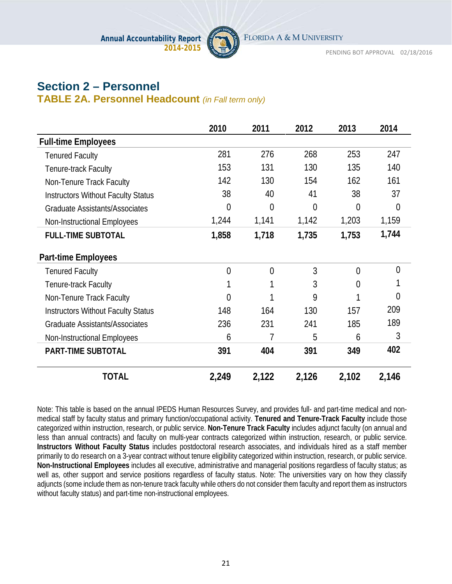

# **Section 2 – Personnel**

**TABLE 2A. Personnel Headcount** *(in Fall term only)*

|                                           | 2010           | 2011           | 2012           | 2013           | 2014           |
|-------------------------------------------|----------------|----------------|----------------|----------------|----------------|
| <b>Full-time Employees</b>                |                |                |                |                |                |
| <b>Tenured Faculty</b>                    | 281            | 276            | 268            | 253            | 247            |
| Tenure-track Faculty                      | 153            | 131            | 130            | 135            | 140            |
| Non-Tenure Track Faculty                  | 142            | 130            | 154            | 162            | 161            |
| <b>Instructors Without Faculty Status</b> | 38             | 40             | 41             | 38             | 37             |
| <b>Graduate Assistants/Associates</b>     | 0              | $\overline{0}$ | $\overline{0}$ | $\overline{0}$ | $\overline{0}$ |
| Non-Instructional Employees               | 1,244          | 1,141          | 1,142          | 1,203          | 1,159          |
| <b>FULL-TIME SUBTOTAL</b>                 | 1,858          | 1,718          | 1,735          | 1,753          | 1,744          |
| <b>Part-time Employees</b>                |                |                |                |                |                |
| <b>Tenured Faculty</b>                    | $\overline{0}$ | $\overline{0}$ | 3              | $\Omega$       | $\overline{0}$ |
| Tenure-track Faculty                      | 1              |                | 3              | $\theta$       |                |
| Non-Tenure Track Faculty                  | 0              |                | 9              |                | 0              |
| <b>Instructors Without Faculty Status</b> | 148            | 164            | 130            | 157            | 209            |
| Graduate Assistants/Associates            | 236            | 231            | 241            | 185            | 189            |
| <b>Non-Instructional Employees</b>        | 6              | 7              | 5              | 6              | 3              |
| <b>PART-TIME SUBTOTAL</b>                 | 391            | 404            | 391            | 349            | 402            |
| <b>TOTAL</b>                              | 2,249          | 2,122          | 2,126          | 2,102          | 2,146          |

Note: This table is based on the annual IPEDS Human Resources Survey, and provides full- and part-time medical and nonmedical staff by faculty status and primary function/occupational activity. **Tenured and Tenure-Track Faculty** include those categorized within instruction, research, or public service. **Non-Tenure Track Faculty** includes adjunct faculty (on annual and less than annual contracts) and faculty on multi-year contracts categorized within instruction, research, or public service. **Instructors Without Faculty Status** includes postdoctoral research associates, and individuals hired as a staff member primarily to do research on a 3-year contract without tenure eligibility categorized within instruction, research, or public service. **Non-Instructional Employees** includes all executive, administrative and managerial positions regardless of faculty status; as well as, other support and service positions regardless of faculty status. Note: The universities vary on how they classify adjuncts (some include them as non-tenure track faculty while others do not consider them faculty and report them as instructors without faculty status) and part-time non-instructional employees.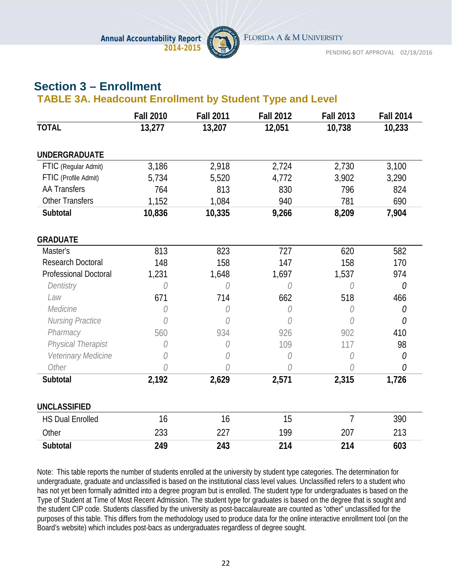

# **Section 3 – Enrollment**

### **TABLE 3A. Headcount Enrollment by Student Type and Level**

|                              | <b>Fall 2010</b> | <b>Fall 2011</b> | <b>Fall 2012</b> | <b>Fall 2013</b> | <b>Fall 2014</b> |
|------------------------------|------------------|------------------|------------------|------------------|------------------|
| <b>TOTAL</b>                 | 13,277           | 13,207           | 12,051           | 10,738           | 10,233           |
| <b>UNDERGRADUATE</b>         |                  |                  |                  |                  |                  |
| FTIC (Regular Admit)         | 3,186            | 2,918            | 2,724            | 2,730            | 3,100            |
| FTIC (Profile Admit)         | 5,734            | 5,520            | 4,772            | 3,902            | 3,290            |
| <b>AA Transfers</b>          | 764              | 813              | 830              | 796              | 824              |
| <b>Other Transfers</b>       | 1,152            | 1,084            | 940              | 781              | 690              |
| Subtotal                     | 10,836           | 10,335           | 9,266            | 8,209            | 7,904            |
| <b>GRADUATE</b>              |                  |                  |                  |                  |                  |
| Master's                     | 813              | 823              | 727              | 620              | 582              |
| <b>Research Doctoral</b>     | 148              | 158              | 147              | 158              | 170              |
| <b>Professional Doctoral</b> | 1,231            | 1,648            | 1,697            | 1,537            | 974              |
| Dentistry                    | 0                | 0                | 0                | 0                | 0                |
| Law                          | 671              | 714              | 662              | 518              | 466              |
| Medicine                     | 0                | 0                | 0                | 0                | 0                |
| <b>Nursing Practice</b>      | 0                | 0                | 0                | O                | 0                |
| Pharmacy                     | 560              | 934              | 926              | 902              | 410              |
| Physical Therapist           | 0                | 0                | 109              | 117              | 98               |
| Veterinary Medicine          | 0                | 0                | 0                | 0                | 0                |
| Other                        |                  |                  | 0                | 0                | 0                |
| Subtotal                     | 2,192            | 2,629            | 2,571            | 2,315            | 1,726            |
| <b>UNCLASSIFIED</b>          |                  |                  |                  |                  |                  |
| <b>HS Dual Enrolled</b>      | 16               | 16               | 15               | $\overline{7}$   | 390              |
| Other                        | 233              | 227              | 199              | 207              | 213              |
| Subtotal                     | 249              | 243              | 214              | 214              | 603              |

Note: This table reports the number of students enrolled at the university by student type categories. The determination for undergraduate, graduate and unclassified is based on the institutional class level values. Unclassified refers to a student who has not yet been formally admitted into a degree program but is enrolled. The student type for undergraduates is based on the Type of Student at Time of Most Recent Admission. The student type for graduates is based on the degree that is sought and the student CIP code. Students classified by the university as post-baccalaureate are counted as "other" unclassified for the purposes of this table. This differs from the methodology used to produce data for the online interactive enrollment tool (on the Board's website) which includes post-bacs as undergraduates regardless of degree sought.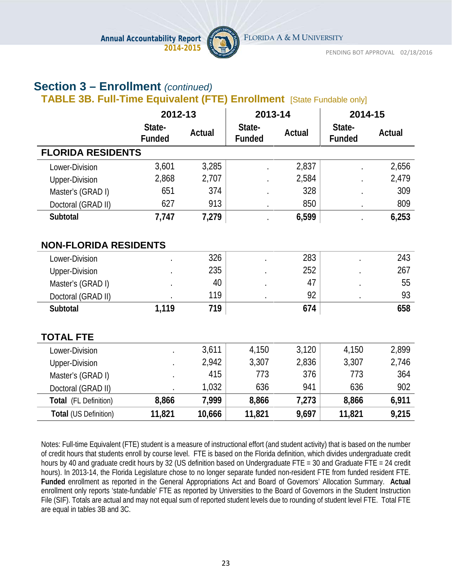

# **Section 3 – Enrollment** *(continued)*

# **TABLE 3B. Full-Time Equivalent (FTE) Enrollment** [State Fundable only]

|                              | 2012-13                 |        | 2013-14                 |        | 2014-15                 |        |
|------------------------------|-------------------------|--------|-------------------------|--------|-------------------------|--------|
|                              | State-<br><b>Funded</b> | Actual | State-<br><b>Funded</b> | Actual | State-<br><b>Funded</b> | Actual |
| <b>FLORIDA RESIDENTS</b>     |                         |        |                         |        |                         |        |
| Lower-Division               | 3,601                   | 3,285  |                         | 2,837  |                         | 2,656  |
| <b>Upper-Division</b>        | 2,868                   | 2,707  |                         | 2,584  |                         | 2,479  |
| Master's (GRAD I)            | 651                     | 374    |                         | 328    |                         | 309    |
| Doctoral (GRAD II)           | 627                     | 913    | $\cdot$                 | 850    | $\bullet$               | 809    |
| Subtotal                     | 7,747                   | 7,279  |                         | 6,599  |                         | 6,253  |
|                              |                         |        |                         |        |                         |        |
| <b>NON-FLORIDA RESIDENTS</b> |                         |        |                         |        |                         |        |
| Lower-Division               |                         | 326    |                         | 283    |                         | 243    |
| <b>Upper-Division</b>        |                         | 235    |                         | 252    |                         | 267    |
| Master's (GRAD I)            |                         | 40     |                         | 47     |                         | 55     |
| Doctoral (GRAD II)           |                         | 119    |                         | 92     |                         | 93     |
| Subtotal                     | 1,119                   | 719    |                         | 674    |                         | 658    |
|                              |                         |        |                         |        |                         |        |
| <b>TOTAL FTE</b>             |                         |        |                         |        |                         |        |
| Lower-Division               |                         | 3,611  | 4,150                   | 3,120  | 4,150                   | 2,899  |
| <b>Upper-Division</b>        |                         | 2,942  | 3,307                   | 2,836  | 3,307                   | 2,746  |
| Master's (GRAD I)            |                         | 415    | 773                     | 376    | 773                     | 364    |
| Doctoral (GRAD II)           |                         | 1,032  | 636                     | 941    | 636                     | 902    |
| Total (FL Definition)        | 8,866                   | 7,999  | 8,866                   | 7,273  | 8,866                   | 6,911  |
| Total (US Definition)        | 11,821                  | 10,666 | 11,821                  | 9,697  | 11,821                  | 9,215  |

Notes: Full-time Equivalent (FTE) student is a measure of instructional effort (and student activity) that is based on the number of credit hours that students enroll by course level. FTE is based on the Florida definition, which divides undergraduate credit hours by 40 and graduate credit hours by 32 (US definition based on Undergraduate FTE = 30 and Graduate FTE = 24 credit hours). In 2013-14, the Florida Legislature chose to no longer separate funded non-resident FTE from funded resident FTE. **Funded** enrollment as reported in the General Appropriations Act and Board of Governors' Allocation Summary. **Actual** enrollment only reports 'state-fundable' FTE as reported by Universities to the Board of Governors in the Student Instruction File (SIF). Totals are actual and may not equal sum of reported student levels due to rounding of student level FTE. Total FTE are equal in tables 3B and 3C.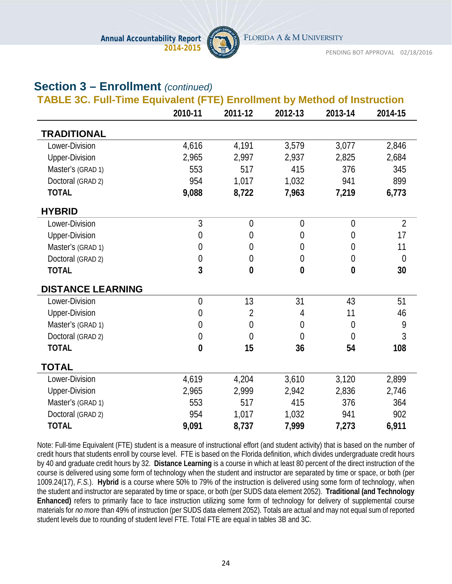

FLORIDA A & M UNIVERSITY

PENDING BOT APPROVAL 02/18/2016

# **Section 3 – Enrollment** *(continued)*

|                          | 2010-11          | 2011-12        | 2012-13        | 2013-14        | 2014-15        |
|--------------------------|------------------|----------------|----------------|----------------|----------------|
| <b>TRADITIONAL</b>       |                  |                |                |                |                |
| Lower-Division           | 4,616            | 4,191          | 3,579          | 3,077          | 2,846          |
| <b>Upper-Division</b>    | 2,965            | 2,997          | 2,937          | 2,825          | 2,684          |
| Master's (GRAD 1)        | 553              | 517            | 415            | 376            | 345            |
| Doctoral (GRAD 2)        | 954              | 1,017          | 1,032          | 941            | 899            |
| <b>TOTAL</b>             | 9,088            | 8,722          | 7,963          | 7,219          | 6,773          |
| <b>HYBRID</b>            |                  |                |                |                |                |
| Lower-Division           | 3                | $\overline{0}$ | $\overline{0}$ | $\overline{0}$ | $\overline{2}$ |
| <b>Upper-Division</b>    | $\boldsymbol{0}$ | $\overline{0}$ | $\theta$       | $\overline{0}$ | 17             |
| Master's (GRAD 1)        | $\mathbf{0}$     | $\overline{0}$ | $\overline{0}$ | $\overline{0}$ | 11             |
| Doctoral (GRAD 2)        | $\boldsymbol{0}$ | $\mathbf 0$    | $\mathbf 0$    | $\theta$       | $\overline{0}$ |
| <b>TOTAL</b>             | $\overline{3}$   | $\bf{0}$       | $\bf{0}$       | $\bf{0}$       | 30             |
| <b>DISTANCE LEARNING</b> |                  |                |                |                |                |
| Lower-Division           | $\overline{0}$   | 13             | 31             | 43             | 51             |
| <b>Upper-Division</b>    | $\boldsymbol{0}$ | $\overline{2}$ | 4              | 11             | 46             |
| Master's (GRAD 1)        | $\boldsymbol{0}$ | $\mathbf 0$    | $\theta$       | $\overline{0}$ | 9              |
| Doctoral (GRAD 2)        | $\mathbf{0}$     | $\overline{0}$ | $\overline{0}$ | $\overline{0}$ | 3              |
| <b>TOTAL</b>             | $\boldsymbol{0}$ | 15             | 36             | 54             | 108            |
| <b>TOTAL</b>             |                  |                |                |                |                |
| Lower-Division           | 4,619            | 4,204          | 3,610          | 3,120          | 2,899          |
| <b>Upper-Division</b>    | 2,965            | 2,999          | 2,942          | 2,836          | 2,746          |
| Master's (GRAD 1)        | 553              | 517            | 415            | 376            | 364            |
| Doctoral (GRAD 2)        | 954              | 1,017          | 1,032          | 941            | 902            |
| <b>TOTAL</b>             | 9,091            | 8,737          | 7,999          | 7,273          | 6,911          |

Note: Full-time Equivalent (FTE) student is a measure of instructional effort (and student activity) that is based on the number of credit hours that students enroll by course level. FTE is based on the Florida definition, which divides undergraduate credit hours by 40 and graduate credit hours by 32. **Distance Learning** is a course in which at least 80 percent of the direct instruction of the course is delivered using some form of technology when the student and instructor are separated by time or space, or both (per 1009.24(17), *F.S.*). **Hybrid** is a course where 50% to 79% of the instruction is delivered using some form of technology, when the student and instructor are separated by time or space, or both (per SUDS data element 2052). **Traditional (and Technology Enhanced)** refers to primarily face to face instruction utilizing some form of technology for delivery of supplemental course materials for *no more* than 49% of instruction (per SUDS data element 2052). Totals are actual and may not equal sum of reported student levels due to rounding of student level FTE. Total FTE are equal in tables 3B and 3C.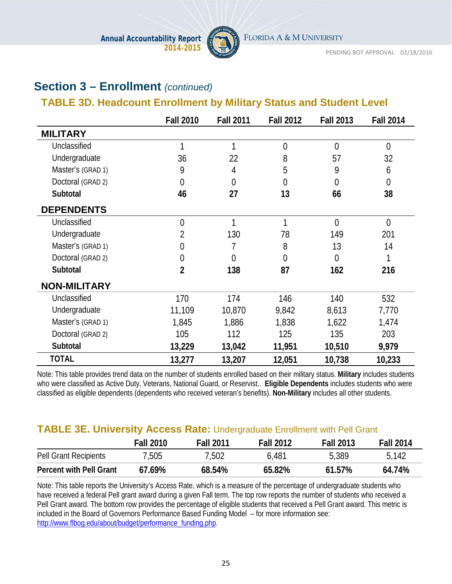

# **Section 3 – Enrollment** *(continued)*

# **TABLE 3D. Headcount Enrollment by Military Status and Student Level**

|                     | <b>Fall 2010</b> | <b>Fall 2011</b> | <b>Fall 2012</b> | <b>Fall 2013</b> | <b>Fall 2014</b> |
|---------------------|------------------|------------------|------------------|------------------|------------------|
| <b>MILITARY</b>     |                  |                  |                  |                  |                  |
| Unclassified        | 1                | 1                | $\overline{0}$   | $\overline{0}$   | $\overline{0}$   |
| Undergraduate       | 36               | 22               | 8                | 57               | 32               |
| Master's (GRAD 1)   | 9                | 4                | 5                | 9                | 6                |
| Doctoral (GRAD 2)   | $\overline{0}$   | $\overline{0}$   | $\theta$         | $\theta$         | $\overline{0}$   |
| Subtotal            | 46               | 27               | 13               | 66               | 38               |
| <b>DEPENDENTS</b>   |                  |                  |                  |                  |                  |
| Unclassified        | $\overline{0}$   | 1                | 1                | $\overline{0}$   | $\overline{0}$   |
| Undergraduate       | $\overline{2}$   | 130              | 78               | 149              | 201              |
| Master's (GRAD 1)   | $\overline{0}$   | 7                | 8                | 13               | 14               |
| Doctoral (GRAD 2)   | $\mathbf 0$      | $\Omega$         | $\theta$         | $\overline{0}$   |                  |
| Subtotal            | $\overline{2}$   | 138              | 87               | 162              | 216              |
| <b>NON-MILITARY</b> |                  |                  |                  |                  |                  |
| Unclassified        | 170              | 174              | 146              | 140              | 532              |
| Undergraduate       | 11,109           | 10,870           | 9,842            | 8,613            | 7,770            |
| Master's (GRAD 1)   | 1,845            | 1,886            | 1,838            | 1,622            | 1,474            |
| Doctoral (GRAD 2)   | 105              | 112              | 125              | 135              | 203              |
| Subtotal            | 13,229           | 13,042           | 11,951           | 10,510           | 9,979            |
| <b>TOTAL</b>        | 13,277           | 13,207           | 12,051           | 10,738           | 10,233           |

Note: This table provides trend data on the number of students enrolled based on their military status. **Military** includes students who were classified as Active Duty, Veterans, National Guard, or Reservist.. **Eligible Dependents** includes students who were classified as eligible dependents (dependents who received veteran's benefits). **Non-Military** includes all other students.

### **TABLE 3E. University Access Rate:** Undergraduate Enrollment with Pell Grant

|                                | <b>Fall 2010</b> | <b>Fall 2011</b> | <b>Fall 2012</b> | <b>Fall 2013</b> | <b>Fall 2014</b> |
|--------------------------------|------------------|------------------|------------------|------------------|------------------|
| Pell Grant Recipients          | 7,505            | 7,502            | 6,481            | 5,389            | 5,142            |
| <b>Percent with Pell Grant</b> | $67.69\%$        | 68.54%           | 65.82%           | 61.57%           | 64.74%           |

Note: This table reports the University's Access Rate, which is a measure of the percentage of undergraduate students who have received a federal Pell grant award during a given Fall term. The top row reports the number of students who received a Pell Grant award. The bottom row provides the percentage of eligible students that received a Pell Grant award. This metric is included in the Board of Governors Performance Based Funding Model – for more information see: [http://www.flbog.edu/about/budget/performance\\_funding.php.](http://www.flbog.edu/about/budget/performance_funding.php)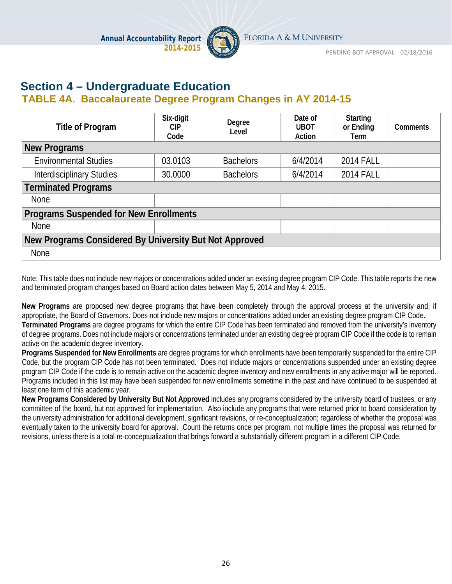

# **Section 4 – Undergraduate Education**

### **TABLE 4A. Baccalaureate Degree Program Changes in AY 2014-15**

| <b>Title of Program</b>                                | Six-digit<br>CIP.<br>Code | Degree<br>Level  | Date of<br><b>UBOT</b><br>Action | <b>Starting</b><br>or Ending<br>Term | <b>Comments</b> |  |  |  |
|--------------------------------------------------------|---------------------------|------------------|----------------------------------|--------------------------------------|-----------------|--|--|--|
| <b>New Programs</b>                                    |                           |                  |                                  |                                      |                 |  |  |  |
| <b>Environmental Studies</b>                           | 03.0103                   | <b>Bachelors</b> | 6/4/2014                         | <b>2014 FALL</b>                     |                 |  |  |  |
| <b>Interdisciplinary Studies</b>                       | 30.0000                   | <b>Bachelors</b> | 6/4/2014                         | <b>2014 FALL</b>                     |                 |  |  |  |
| <b>Terminated Programs</b>                             |                           |                  |                                  |                                      |                 |  |  |  |
| <b>None</b>                                            |                           |                  |                                  |                                      |                 |  |  |  |
| <b>Programs Suspended for New Enrollments</b>          |                           |                  |                                  |                                      |                 |  |  |  |
| <b>None</b>                                            |                           |                  |                                  |                                      |                 |  |  |  |
| New Programs Considered By University But Not Approved |                           |                  |                                  |                                      |                 |  |  |  |
| None                                                   |                           |                  |                                  |                                      |                 |  |  |  |

Note: This table does not include new majors or concentrations added under an existing degree program CIP Code. This table reports the new and terminated program changes based on Board action dates between May 5, 2014 and May 4, 2015.

**New Programs** are proposed new degree programs that have been completely through the approval process at the university and, if appropriate, the Board of Governors. Does not include new majors or concentrations added under an existing degree program CIP Code. **Terminated Programs** are degree programs for which the entire CIP Code has been terminated and removed from the university's inventory of degree programs. Does not include majors or concentrations terminated under an existing degree program CIP Code if the code is to remain active on the academic degree inventory.

**Programs Suspended for New Enrollments** are degree programs for which enrollments have been temporarily suspended for the entire CIP Code, but the program CIP Code has not been terminated. Does not include majors or concentrations suspended under an existing degree program CIP Code if the code is to remain active on the academic degree inventory and new enrollments in any active major will be reported. Programs included in this list may have been suspended for new enrollments sometime in the past and have continued to be suspended at least one term of this academic year.

**New Programs Considered by University But Not Approved** includes any programs considered by the university board of trustees, or any committee of the board, but not approved for implementation. Also include any programs that were returned prior to board consideration by the university administration for additional development, significant revisions, or re-conceptualization; regardless of whether the proposal was eventually taken to the university board for approval. Count the returns once per program, not multiple times the proposal was returned for revisions, unless there is a total re-conceptualization that brings forward a substantially different program in a different CIP Code.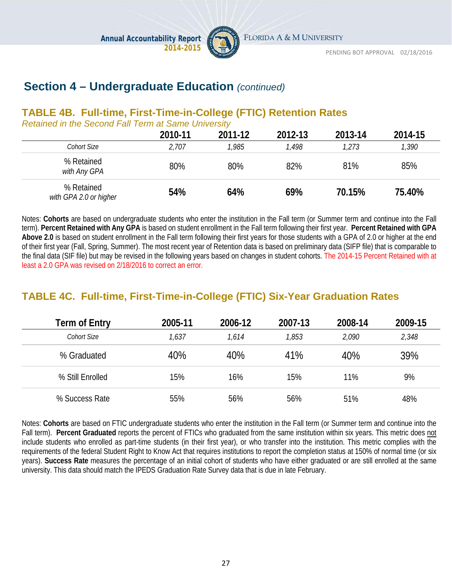# **Section 4 – Undergraduate Education** *(continued)*

**Annual Accountability Report**

# **TABLE 4B. Full-time, First-Time-in-College (FTIC) Retention Rates**

**2014-2015**

*Retained in the Second Fall Term at Same University*

|                                      | 2010-11 | 2011-12 | 2012-13 | 2013-14 | 2014-15 |
|--------------------------------------|---------|---------|---------|---------|---------|
| <b>Cohort Size</b>                   | 2,707   | 1,985   | 1,498   | 1,273   | 1,390   |
| % Retained<br>with Any GPA           | 80%     | 80%     | 82%     | 81%     | 85%     |
| % Retained<br>with GPA 2.0 or higher | 54%     | 64%     | 69%     | 70.15%  | 75.40%  |

Notes: **Cohorts** are based on undergraduate students who enter the institution in the Fall term (or Summer term and continue into the Fall term). **Percent Retained with Any GPA** is based on student enrollment in the Fall term following their first year. **Percent Retained with GPA Above 2.0** is based on student enrollment in the Fall term following their first years for those students with a GPA of 2.0 or higher at the end of their first year (Fall, Spring, Summer). The most recent year of Retention data is based on preliminary data (SIFP file) that is comparable to the final data (SIF file) but may be revised in the following years based on changes in student cohorts. The 2014-15 Percent Retained with at least a 2.0 GPA was revised on 2/18/2016 to correct an error.

# **TABLE 4C. Full-time, First-Time-in-College (FTIC) Six-Year Graduation Rates**

| <b>Term of Entry</b> | 2005-11 | 2006-12 | 2007-13 | 2008-14 | 2009-15 |
|----------------------|---------|---------|---------|---------|---------|
| Cohort Size          | 1,637   | 1.614   | 1,853   | 2,090   | 2,348   |
| % Graduated          | 40%     | 40%     | 41%     | 40%     | 39%     |
| % Still Enrolled     | 15%     | 16%     | 15%     | 11%     | 9%      |
| % Success Rate       | 55%     | 56%     | 56%     | 51%     | 48%     |

Notes: **Cohorts** are based on FTIC undergraduate students who enter the institution in the Fall term (or Summer term and continue into the Fall term). **Percent Graduated** reports the percent of FTICs who graduated from the same institution within six years. This metric does not include students who enrolled as part-time students (in their first year), or who transfer into the institution. This metric complies with the requirements of the federal Student Right to Know Act that requires institutions to report the completion status at 150% of normal time (or six years). **Success Rate** measures the percentage of an initial cohort of students who have either graduated or are still enrolled at the same university. This data should match the IPEDS Graduation Rate Survey data that is due in late February.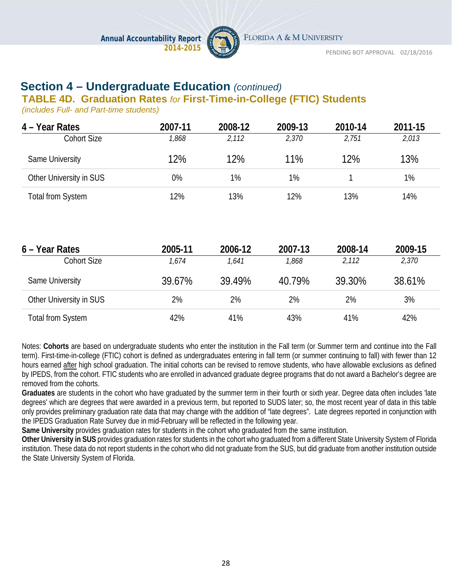

FLORIDA A & M UNIVERSITY

PENDING BOT APPROVAL 02/18/2016

# **Section 4 – Undergraduate Education** *(continued)*

#### **TABLE 4D. Graduation Rates** *for* **First-Time-in-College (FTIC) Students**

*(includes Full- and Part-time students)*

| 4 – Year Rates           | 2007-11 | 2008-12 | 2009-13 | 2010-14 | 2011-15 |
|--------------------------|---------|---------|---------|---------|---------|
| <b>Cohort Size</b>       | 1,868   | 2,112   | 2,370   | 2,751   | 2,013   |
| Same University          | 12%     | 12%     | 11%     | 12%     | 13%     |
| Other University in SUS  | 0%      | 1%      | 1%      |         | 1%      |
| <b>Total from System</b> | 12%     | 13%     | 12%     | 13%     | 14%     |

| 6 – Year Rates          | 2005-11 | 2006-12 | 2007-13 | 2008-14 | 2009-15 |
|-------------------------|---------|---------|---------|---------|---------|
| Cohort Size             | 1.674   | 1,641   | 1,868   | 2,112   | 2,370   |
| Same University         | 39.67%  | 39.49%  | 40.79%  | 39.30%  | 38.61%  |
| Other University in SUS | 2%      | 2%      | 2%      | 2%      | 3%      |
| Total from System       | 42%     | 41%     | 43%     | 41%     | 42%     |

Notes: **Cohorts** are based on undergraduate students who enter the institution in the Fall term (or Summer term and continue into the Fall term). First-time-in-college (FTIC) cohort is defined as undergraduates entering in fall term (or summer continuing to fall) with fewer than 12 hours earned after high school graduation. The initial cohorts can be revised to remove students, who have allowable exclusions as defined by IPEDS, from the cohort. FTIC students who are enrolled in advanced graduate degree programs that do not award a Bachelor's degree are removed from the cohorts.

**Graduates** are students in the cohort who have graduated by the summer term in their fourth or sixth year. Degree data often includes 'late degrees' which are degrees that were awarded in a previous term, but reported to SUDS later; so, the most recent year of data in this table only provides preliminary graduation rate data that may change with the addition of "late degrees". Late degrees reported in conjunction with the IPEDS Graduation Rate Survey due in mid-February will be reflected in the following year.

**Same University** provides graduation rates for students in the cohort who graduated from the same institution.

**Other University in SUS** provides graduation rates for students in the cohort who graduated from a different State University System of Florida institution. These data do not report students in the cohort who did not graduate from the SUS, but did graduate from another institution outside the State University System of Florida.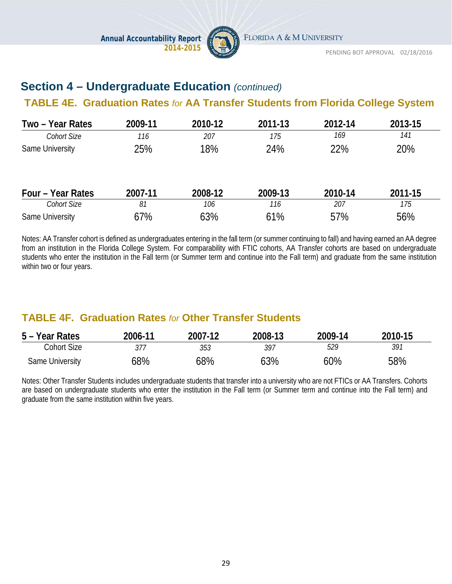

# **Section 4 – Undergraduate Education** *(continued)*

### **TABLE 4E. Graduation Rates** *for* **AA Transfer Students from Florida College System**

| Two - Year Rates   | 2009-11 | 2010-12 | 2011-13 | 2012-14 | 2013-15 |
|--------------------|---------|---------|---------|---------|---------|
| <b>Cohort Size</b> | 116     | 207     | 175     | 169     | 141     |
| Same University    | 25%     | 18%     | 24%     | 22%     | 20%     |
| Four - Year Rates  | 2007-11 | 2008-12 | 2009-13 | 2010-14 | 2011-15 |
| <b>Cohort Size</b> | 81      | 106     | 116     | 207     | 175     |
| Same University    | 67%     | 63%     | 61%     | 57%     | 56%     |

Notes: AA Transfer cohort is defined as undergraduates entering in the fall term (or summer continuing to fall) and having earned an AA degree from an institution in the Florida College System. For comparability with FTIC cohorts, AA Transfer cohorts are based on undergraduate students who enter the institution in the Fall term (or Summer term and continue into the Fall term) and graduate from the same institution within two or four years.

# **TABLE 4F. Graduation Rates** *for* **Other Transfer Students**

| 5 – Year Rates  | 2006-11 | 2007-12 | 2008-13 | 2009-14 | 2010-15 |
|-----------------|---------|---------|---------|---------|---------|
| Cohort Size     |         | 353     | 397     | 529     | 391     |
| Same University | 68%     | 68%     | 63%     | 60%     | 58%     |

Notes: Other Transfer Students includes undergraduate students that transfer into a university who are not FTICs or AA Transfers. Cohorts are based on undergraduate students who enter the institution in the Fall term (or Summer term and continue into the Fall term) and graduate from the same institution within five years.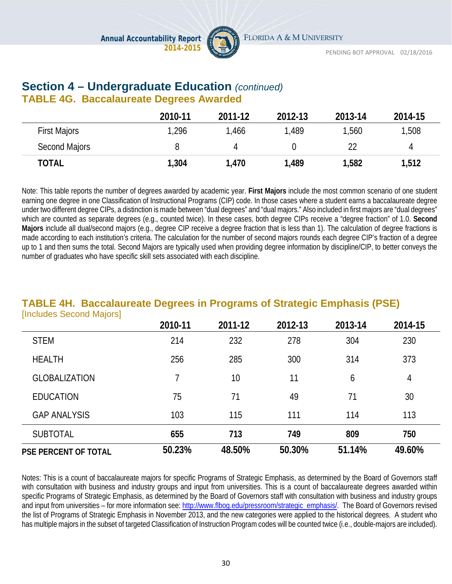

### **Section 4 – Undergraduate Education** *(continued)* **TABLE 4G. Baccalaureate Degrees Awarded**

|                     | 2010-11 | 2011-12 | 2012-13 | 2013-14 | 2014-15 |
|---------------------|---------|---------|---------|---------|---------|
| <b>First Majors</b> | 1,296   | ,466    | 1,489   | 1,560   | 1,508   |
| Second Majors       |         |         |         |         | 4       |
| <b>TOTAL</b>        | 1,304   | 1,470   | 1,489   | 1,582   | 1,512   |

Note: This table reports the number of degrees awarded by academic year. **First Majors** include the most common scenario of one student earning one degree in one Classification of Instructional Programs (CIP) code. In those cases where a student earns a baccalaureate degree under two different degree CIPs, a distinction is made between "dual degrees" and "dual majors." Also included in first majors are "dual degrees" which are counted as separate degrees (e.g., counted twice). In these cases, both degree CIPs receive a "degree fraction" of 1.0. **Second Majors** include all dual/second majors (e.g., degree CIP receive a degree fraction that is less than 1). The calculation of degree fractions is made according to each institution's criteria. The calculation for the number of second majors rounds each degree CIP's fraction of a degree up to 1 and then sums the total. Second Majors are typically used when providing degree information by discipline/CIP, to better conveys the number of graduates who have specific skill sets associated with each discipline.

#### **TABLE 4H. Baccalaureate Degrees in Programs of Strategic Emphasis (PSE) Includes Second Majors1**

|                             | 2010-11 | 2011-12 | 2012-13 | 2013-14 | 2014-15 |
|-----------------------------|---------|---------|---------|---------|---------|
| <b>STEM</b>                 | 214     | 232     | 278     | 304     | 230     |
| <b>HEALTH</b>               | 256     | 285     | 300     | 314     | 373     |
| <b>GLOBALIZATION</b>        |         | 10      | 11      | 6       | 4       |
| <b>EDUCATION</b>            | 75      | 71      | 49      | 71      | 30      |
| <b>GAP ANALYSIS</b>         | 103     | 115     | 111     | 114     | 113     |
| <b>SUBTOTAL</b>             | 655     | 713     | 749     | 809     | 750     |
| <b>PSE PERCENT OF TOTAL</b> | 50.23%  | 48.50%  | 50.30%  | 51.14%  | 49.60%  |

Notes: This is a count of baccalaureate majors for specific Programs of Strategic Emphasis, as determined by the Board of Governors staff with consultation with business and industry groups and input from universities. This is a count of baccalaureate degrees awarded within specific Programs of Strategic Emphasis, as determined by the Board of Governors staff with consultation with business and industry groups and input from universities – for more information see: [http://www.flbog.edu/pressroom/strategic\\_emphasis/.](http://www.flbog.edu/pressroom/strategic_emphasis/) The Board of Governors revised the list of Programs of Strategic Emphasis in November 2013, and the new categories were applied to the historical degrees. A student who has multiple majors in the subset of targeted Classification of Instruction Program codes will be counted twice (i.e., double-majors are included).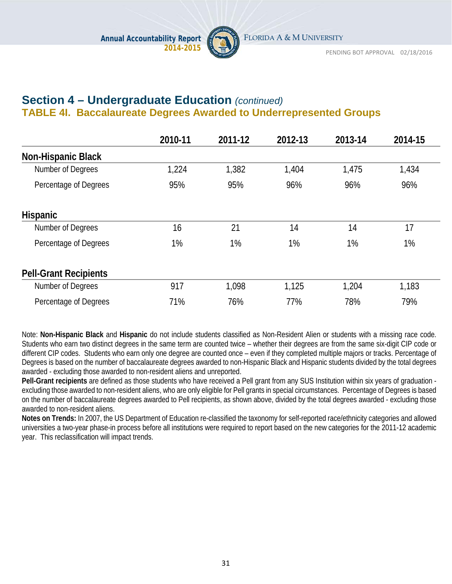

# **Section 4 – Undergraduate Education** *(continued)* **TABLE 4I. Baccalaureate Degrees Awarded to Underrepresented Groups**

|                              | 2010-11 | 2011-12 | 2012-13 | 2013-14 | 2014-15 |
|------------------------------|---------|---------|---------|---------|---------|
| <b>Non-Hispanic Black</b>    |         |         |         |         |         |
| Number of Degrees            | 1,224   | 1,382   | 1,404   | 1,475   | 1,434   |
| Percentage of Degrees        | 95%     | 95%     | 96%     | 96%     | 96%     |
| <b>Hispanic</b>              |         |         |         |         |         |
| Number of Degrees            | 16      | 21      | 14      | 14      | 17      |
| Percentage of Degrees        | 1%      | 1%      | 1%      | 1%      | $1\%$   |
| <b>Pell-Grant Recipients</b> |         |         |         |         |         |
| Number of Degrees            | 917     | 1,098   | 1,125   | 1,204   | 1,183   |
| Percentage of Degrees        | 71%     | 76%     | 77%     | 78%     | 79%     |

Note: **Non-Hispanic Black** and **Hispanic** do not include students classified as Non-Resident Alien or students with a missing race code. Students who earn two distinct degrees in the same term are counted twice – whether their degrees are from the same six-digit CIP code or different CIP codes. Students who earn only one degree are counted once – even if they completed multiple majors or tracks. Percentage of Degrees is based on the number of baccalaureate degrees awarded to non-Hispanic Black and Hispanic students divided by the total degrees awarded - excluding those awarded to non-resident aliens and unreported.

**Pell-Grant recipients** are defined as those students who have received a Pell grant from any SUS Institution within six years of graduation excluding those awarded to non-resident aliens, who are only eligible for Pell grants in special circumstances. Percentage of Degrees is based on the number of baccalaureate degrees awarded to Pell recipients, as shown above, divided by the total degrees awarded - excluding those awarded to non-resident aliens.

**Notes on Trends:** In 2007, the US Department of Education re-classified the taxonomy for self-reported race/ethnicity categories and allowed universities a two-year phase-in process before all institutions were required to report based on the new categories for the 2011-12 academic year. This reclassification will impact trends.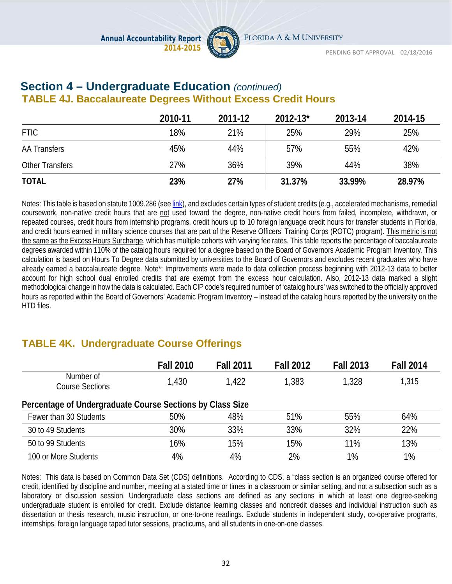

# **Section 4 – Undergraduate Education** *(continued)* **TABLE 4J. Baccalaureate Degrees Without Excess Credit Hours**

|                        | 2010-11 | 2011-12 | $2012 - 13$ * | 2013-14 | 2014-15 |
|------------------------|---------|---------|---------------|---------|---------|
| <b>FTIC</b>            | 18%     | 21%     | 25%           | 29%     | 25%     |
| <b>AA Transfers</b>    | 45%     | 44%     | 57%           | 55%     | 42%     |
| <b>Other Transfers</b> | 27%     | 36%     | 39%           | 44%     | 38%     |
| <b>TOTAL</b>           | 23%     | 27%     | 31.37%        | 33.99%  | 28.97%  |

Notes: This table is based on statute 1009.286 (se[e link\)](http://www.leg.state.fl.us/statutes/index.cfm?mode=View%20Statutes&SubMenu=1&App_mode=Display_Statute&Search_String=excess+hours&URL=1000-1099/1009/Sections/1009.286.html), and excludes certain types of student credits (e.g., accelerated mechanisms, remedial coursework, non-native credit hours that are not used toward the degree, non-native credit hours from failed, incomplete, withdrawn, or repeated courses, credit hours from internship programs, credit hours up to 10 foreign language credit hours for transfer students in Florida, and credit hours earned in military science courses that are part of the Reserve Officers' Training Corps (ROTC) program). This metric is not the same as the Excess Hours Surcharge, which has multiple cohorts with varying fee rates. This table reports the percentage of baccalaureate degrees awarded within 110% of the catalog hours required for a degree based on the Board of Governors Academic Program Inventory. This calculation is based on Hours To Degree data submitted by universities to the Board of Governors and excludes recent graduates who have already earned a baccalaureate degree. Note\*: Improvements were made to data collection process beginning with 2012-13 data to better account for high school dual enrolled credits that are exempt from the excess hour calculation. Also, 2012-13 data marked a slight methodological change in how the data is calculated. Each CIP code's required number of 'catalog hours' was switched to the officially approved hours as reported within the Board of Governors' Academic Program Inventory – instead of the catalog hours reported by the university on the HTD files.

# **TABLE 4K. Undergraduate Course Offerings**

|                                                           | <b>Fall 2010</b> | <b>Fall 2011</b> | <b>Fall 2012</b> | <b>Fall 2013</b> | <b>Fall 2014</b> |  |  |
|-----------------------------------------------------------|------------------|------------------|------------------|------------------|------------------|--|--|
| Number of<br><b>Course Sections</b>                       | 1,430            | 1,422            | 1,383            | 1,328            | 1,315            |  |  |
| Percentage of Undergraduate Course Sections by Class Size |                  |                  |                  |                  |                  |  |  |
| Fewer than 30 Students                                    | 50%              | 48%              | 51%              | 55%              | 64%              |  |  |
| 30 to 49 Students                                         | 30%              | 33%              | 33%              | 32%              | 22%              |  |  |
| 50 to 99 Students                                         | 16%              | 15%              | 15%              | 11%              | 13%              |  |  |
| 100 or More Students                                      | 4%               | 4%               | 2%               | 1%               | 1%               |  |  |

Notes: This data is based on Common Data Set (CDS) definitions. According to CDS, a "class section is an organized course offered for credit, identified by discipline and number, meeting at a stated time or times in a classroom or similar setting, and not a subsection such as a laboratory or discussion session. Undergraduate class sections are defined as any sections in which at least one degree-seeking undergraduate student is enrolled for credit. Exclude distance learning classes and noncredit classes and individual instruction such as dissertation or thesis research, music instruction, or one-to-one readings. Exclude students in independent study, co-operative programs, internships, foreign language taped tutor sessions, practicums, and all students in one-on-one classes.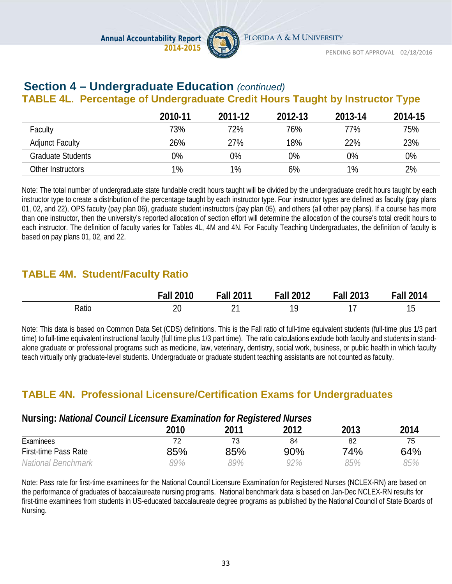

#### **Section 4 – Undergraduate Education** *(continued)* **TABLE 4L. Percentage of Undergraduate Credit Hours Taught by Instructor Type**

|                        | 2010-11 | 2011-12 | 2012-13 | 2013-14 | 2014-15 |
|------------------------|---------|---------|---------|---------|---------|
| Faculty                | 73%     | 72%     | 76%     | 77%     | 75%     |
| <b>Adjunct Faculty</b> | 26%     | 27%     | 18%     | 22%     | 23%     |
| Graduate Students      | $0\%$   | 0%      | 0%      | 0%      | 0%      |
| Other Instructors      | $1\%$   | $1\%$   | 6%      | 1%      | 2%      |

Note: The total number of undergraduate state fundable credit hours taught will be divided by the undergraduate credit hours taught by each instructor type to create a distribution of the percentage taught by each instructor type. Four instructor types are defined as faculty (pay plans 01, 02, and 22), OPS faculty (pay plan 06), graduate student instructors (pay plan 05), and others (all other pay plans). If a course has more than one instructor, then the university's reported allocation of section effort will determine the allocation of the course's total credit hours to each instructor. The definition of faculty varies for Tables 4L, 4M and 4N. For Faculty Teaching Undergraduates, the definition of faculty is based on pay plans 01, 02, and 22.

# **TABLE 4M. Student/Faculty Ratio**

|       | <b>Fall 2010</b>   | <b>Fall 2011</b> | <b>Fall 2012</b> | Fall<br>2013 | $II$ 2014<br>$-ah$ |
|-------|--------------------|------------------|------------------|--------------|--------------------|
| Ratio | ንቦ<br>∠∪<br>$\sim$ | ົ                |                  |              | $\sim$<br>ט ו      |

Note: This data is based on Common Data Set (CDS) definitions. This is the Fall ratio of full-time equivalent students (full-time plus 1/3 part time) to full-time equivalent instructional faculty (full time plus 1/3 part time). The ratio calculations exclude both faculty and students in standalone graduate or professional programs such as medicine, law, veterinary, dentistry, social work, business, or public health in which faculty teach virtually only graduate-level students. Undergraduate or graduate student teaching assistants are not counted as faculty.

### **TABLE 4N. Professional Licensure/Certification Exams for Undergraduates**

#### **Nursing:** *National Council Licensure Examination for Registered Nurses*

|                             | 2010 | 2011 | 2012 | 2013 | 2014 |
|-----------------------------|------|------|------|------|------|
| Examinees                   |      | 73   | 84   | 82   | 75   |
| <b>First-time Pass Rate</b> | 85%  | 85%  | 90%  | 74%  | 64%  |
| <b>National Benchmark</b>   | 89%  | 99%  | 92%  | 85%  | 85%  |

Note: Pass rate for first-time examinees for the National Council Licensure Examination for Registered Nurses (NCLEX-RN) are based on the performance of graduates of baccalaureate nursing programs. National benchmark data is based on Jan-Dec NCLEX-RN results for first-time examinees from students in US-educated baccalaureate degree programs as published by the National Council of State Boards of Nursing.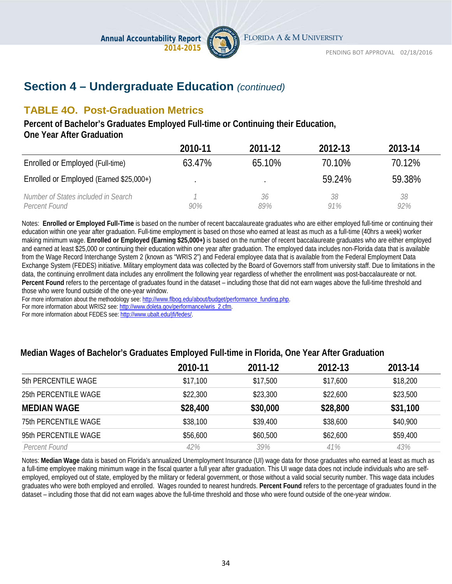

# **Section 4 – Undergraduate Education** *(continued)*

# **TABLE 4O. Post-Graduation Metrics**

**Percent of Bachelor's Graduates Employed Full-time or Continuing their Education, One Year After Graduation** 

|                                                      | 2010-11 | 2011-12   | 2012-13   | 2013-14   |
|------------------------------------------------------|---------|-----------|-----------|-----------|
| Enrolled or Employed (Full-time)                     | 63.47%  | 65.10%    | 70.10%    | 70.12%    |
| Enrolled or Employed (Earned \$25,000+)              |         |           | 59.24%    | 59.38%    |
| Number of States included in Search<br>Percent Found | 90%     | 36<br>89% | 38<br>91% | 38<br>92% |

Notes: **Enrolled or Employed Full-Time** is based on the number of recent baccalaureate graduates who are either employed full-time or continuing their education within one year after graduation. Full-time employment is based on those who earned at least as much as a full-time (40hrs a week) worker making minimum wage. **Enrolled or Employed (Earning \$25,000+)** is based on the number of recent baccalaureate graduates who are either employed and earned at least \$25,000 or continuing their education within one year after graduation. The employed data includes non-Florida data that is available from the Wage Record Interchange System 2 (known as "WRIS 2") and Federal employee data that is available from the Federal Employment Data Exchange System (FEDES) initiative. Military employment data was collected by the Board of Governors staff from university staff. Due to limitations in the data, the continuing enrollment data includes any enrollment the following year regardless of whether the enrollment was post-baccalaureate or not. **Percent Found** refers to the percentage of graduates found in the dataset – including those that did not earn wages above the full-time threshold and those who were found outside of the one-year window.

For more information about the methodology see: http://www.flbog.edu/about/budget/performance\_funding.php.

For more information about WRIS2 see[: http://www.doleta.gov/performance/wris\\_2.cfm.](http://www.doleta.gov/performance/wris_2.cfm) 

For more information about FEDES see[: http://www.ubalt.edu/jfi/fedes/.](http://www.ubalt.edu/jfi/fedes/)

#### **Median Wages of Bachelor's Graduates Employed Full-time in Florida, One Year After Graduation**

|                             | 2010-11  | 2011-12  | 2012-13  | 2013-14  |
|-----------------------------|----------|----------|----------|----------|
| 5th PERCENTILE WAGE         | \$17,100 | \$17,500 | \$17,600 | \$18,200 |
| 25th PERCENTILE WAGE        | \$22,300 | \$23,300 | \$22,600 | \$23,500 |
| <b>MEDIAN WAGE</b>          | \$28,400 | \$30,000 | \$28,800 | \$31,100 |
| <b>75th PERCENTILE WAGE</b> | \$38,100 | \$39,400 | \$38,600 | \$40,900 |
| 95th PERCENTILE WAGE        | \$56,600 | \$60,500 | \$62,600 | \$59,400 |
| Percent Found               | 42%      | 39%      | 41%      | 43%      |

Notes: **Median Wage** data is based on Florida's annualized Unemployment Insurance (UI) wage data for those graduates who earned at least as much as a full-time employee making minimum wage in the fiscal quarter a full year after graduation. This UI wage data does not include individuals who are selfemployed, employed out of state, employed by the military or federal government, or those without a valid social security number. This wage data includes graduates who were both employed and enrolled. Wages rounded to nearest hundreds. **Percent Found** refers to the percentage of graduates found in the dataset – including those that did not earn wages above the full-time threshold and those who were found outside of the one-year window.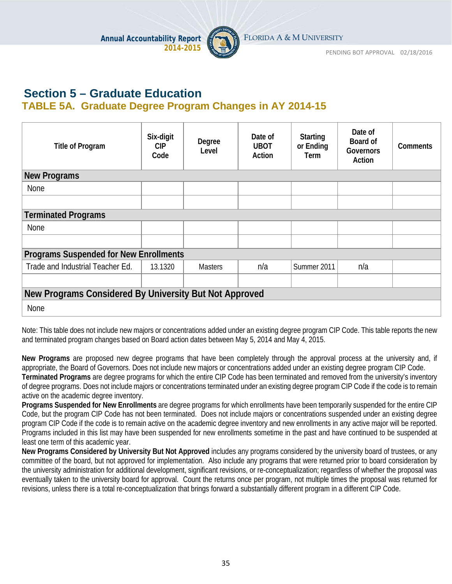

### **Section 5 – Graduate Education TABLE 5A. Graduate Degree Program Changes in AY 2014-15**

| <b>Title of Program</b>                                | Six-digit<br><b>CIP</b><br>Code | Degree<br>Level | Date of<br><b>UBOT</b><br>Action | <b>Starting</b><br>or Ending<br>Term | Date of<br>Board of<br>Governors<br>Action | <b>Comments</b> |
|--------------------------------------------------------|---------------------------------|-----------------|----------------------------------|--------------------------------------|--------------------------------------------|-----------------|
| <b>New Programs</b>                                    |                                 |                 |                                  |                                      |                                            |                 |
| None                                                   |                                 |                 |                                  |                                      |                                            |                 |
|                                                        |                                 |                 |                                  |                                      |                                            |                 |
| <b>Terminated Programs</b>                             |                                 |                 |                                  |                                      |                                            |                 |
| <b>None</b>                                            |                                 |                 |                                  |                                      |                                            |                 |
|                                                        |                                 |                 |                                  |                                      |                                            |                 |
| <b>Programs Suspended for New Enrollments</b>          |                                 |                 |                                  |                                      |                                            |                 |
| Trade and Industrial Teacher Ed.                       | 13.1320                         | <b>Masters</b>  | n/a                              | Summer 2011                          | n/a                                        |                 |
|                                                        |                                 |                 |                                  |                                      |                                            |                 |
| New Programs Considered By University But Not Approved |                                 |                 |                                  |                                      |                                            |                 |
| <b>None</b>                                            |                                 |                 |                                  |                                      |                                            |                 |

Note: This table does not include new majors or concentrations added under an existing degree program CIP Code. This table reports the new and terminated program changes based on Board action dates between May 5, 2014 and May 4, 2015.

**New Programs** are proposed new degree programs that have been completely through the approval process at the university and, if appropriate, the Board of Governors. Does not include new majors or concentrations added under an existing degree program CIP Code. **Terminated Programs** are degree programs for which the entire CIP Code has been terminated and removed from the university's inventory of degree programs. Does not include majors or concentrations terminated under an existing degree program CIP Code if the code is to remain active on the academic degree inventory.

**Programs Suspended for New Enrollments** are degree programs for which enrollments have been temporarily suspended for the entire CIP Code, but the program CIP Code has not been terminated. Does not include majors or concentrations suspended under an existing degree program CIP Code if the code is to remain active on the academic degree inventory and new enrollments in any active major will be reported. Programs included in this list may have been suspended for new enrollments sometime in the past and have continued to be suspended at least one term of this academic year.

**New Programs Considered by University But Not Approved** includes any programs considered by the university board of trustees, or any committee of the board, but not approved for implementation. Also include any programs that were returned prior to board consideration by the university administration for additional development, significant revisions, or re-conceptualization; regardless of whether the proposal was eventually taken to the university board for approval. Count the returns once per program, not multiple times the proposal was returned for revisions, unless there is a total re-conceptualization that brings forward a substantially different program in a different CIP Code.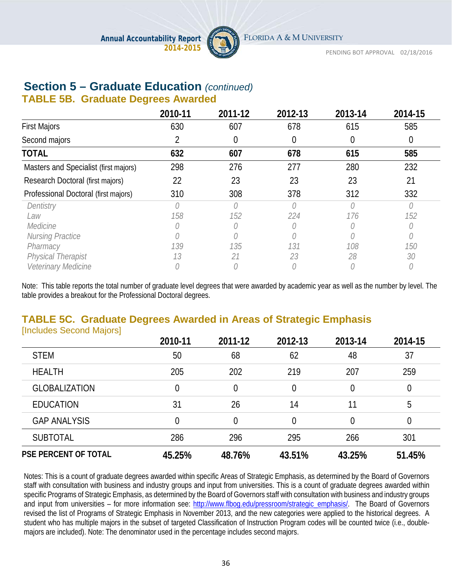

# **Section 5 – Graduate Education** *(continued)*

#### **TABLE 5B. Graduate Degrees Awarded**

|                                       | 2010-11 | 2011-12         | 2012-13  | 2013-14 | 2014-15 |
|---------------------------------------|---------|-----------------|----------|---------|---------|
| <b>First Majors</b>                   | 630     | 607             | 678      | 615     | 585     |
| Second majors                         |         | 0               | $\theta$ |         |         |
| <b>TOTAL</b>                          | 632     | 607             | 678      | 615     | 585     |
| Masters and Specialist (first majors) | 298     | 276             | 277      | 280     | 232     |
| Research Doctoral (first majors)      | 22      | 23              | 23       | 23      | 21      |
| Professional Doctoral (first majors)  | 310     | 308             | 378      | 312     | 332     |
| Dentistry                             |         | 0               | 0        |         |         |
| Law                                   | 158     | 152             | 224      | 176     | 152     |
| Medicine                              |         | $\left(\right)$ |          |         |         |
| <b>Nursing Practice</b>               |         |                 |          |         |         |
| Pharmacy                              | 139     | 135             | 131      | 108     | 150     |
| <b>Physical Therapist</b>             | 13      | 21              | 23       | 28      | 30      |
| Veterinary Medicine                   |         |                 |          |         |         |

Note: This table reports the total number of graduate level degrees that were awarded by academic year as well as the number by level. The table provides a breakout for the Professional Doctoral degrees.

#### **TABLE 5C. Graduate Degrees Awarded in Areas of Strategic Emphasis Includes Second Majors1**

|                             | 2010-11 | 2011-12 | 2012-13        | 2013-14 | 2014-15 |
|-----------------------------|---------|---------|----------------|---------|---------|
| <b>STEM</b>                 | 50      | 68      | 62             | 48      | 37      |
| <b>HEALTH</b>               | 205     | 202     | 219            | 207     | 259     |
| <b>GLOBALIZATION</b>        | 0       | 0       | $\overline{0}$ |         | 0       |
| <b>EDUCATION</b>            | 31      | 26      | 14             | 11      | 5       |
| <b>GAP ANALYSIS</b>         | 0       | 0       | $\overline{0}$ |         | 0       |
| <b>SUBTOTAL</b>             | 286     | 296     | 295            | 266     | 301     |
| <b>PSE PERCENT OF TOTAL</b> | 45.25%  | 48.76%  | 43.51%         | 43.25%  | 51.45%  |

Notes: This is a count of graduate degrees awarded within specific Areas of Strategic Emphasis, as determined by the Board of Governors staff with consultation with business and industry groups and input from universities. This is a count of graduate degrees awarded within specific Programs of Strategic Emphasis, as determined by the Board of Governors staff with consultation with business and industry groups and input from universities – for more information see: [http://www.flbog.edu/pressroom/strategic\\_emphasis/.](http://www.flbog.edu/pressroom/strategic_emphasis/) The Board of Governors revised the list of Programs of Strategic Emphasis in November 2013, and the new categories were applied to the historical degrees. A student who has multiple majors in the subset of targeted Classification of Instruction Program codes will be counted twice (i.e., doublemajors are included). Note: The denominator used in the percentage includes second majors.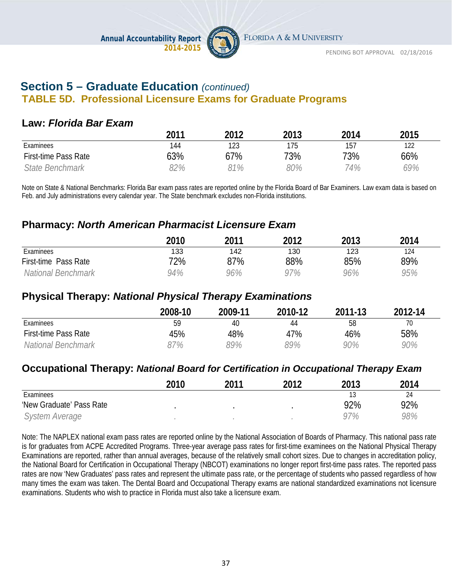

# **Section 5 – Graduate Education** *(continued)* **TABLE 5D. Professional Licensure Exams for Graduate Programs**

### **Law:** *Florida Bar Exam*

|                      | 2011 | 2012 | 2013 | 2014 | 2015 |
|----------------------|------|------|------|------|------|
| Examinees            | 144  | 123  | 175  | 157  | 122  |
| First-time Pass Rate | 63%  | 67%  | 73%  | 73%  | 66%  |
| State Benchmark      | 82%  | 81%  | 80%  | 74%  | 69%  |

Note on State & National Benchmarks: Florida Bar exam pass rates are reported online by the Florida Board of Bar Examiners. Law exam data is based on Feb. and July administrations every calendar year. The State benchmark excludes non-Florida institutions.

### **Pharmacy:** *North American Pharmacist Licensure Exam*

|                      | 2010 | 2011 | 2012 | 2013 | 2014 |
|----------------------|------|------|------|------|------|
| Examinees            | 133  | 142  | 130  | 123  | 124  |
| First-time Pass Rate | 72%  | 87%  | 88%  | 85%  | 89%  |
| National Benchmark   | 94%  | 96%  | 97%  | 96%  | 95%  |

# **Physical Therapy:** *National Physical Therapy Examinations*

|                      | 2008-10 | 2009-11 | 2010-12 | 2011-13 | $2012 - 14$ |
|----------------------|---------|---------|---------|---------|-------------|
| Examinees            | 59      | 40      | 44      | 58      | 70          |
| First-time Pass Rate | 45%     | 48%     | 47%     | 46%     | 58%         |
| National Benchmark   | 7%      | 89%     | 89%     | 90%     | 90%         |

### **Occupational Therapy:** *National Board for Certification in Occupational Therapy Exam*

|                          | 2010 | 2011 | 2012 | 2013 | 2014 |
|--------------------------|------|------|------|------|------|
| Examinees                |      |      |      |      | 24   |
| 'New Graduate' Pass Rate |      |      |      | 92%  | 92%  |
| System Average           |      |      |      | 97%  | 98%  |

Note: The NAPLEX national exam pass rates are reported online by the National Association of Boards of Pharmacy. This national pass rate is for graduates from ACPE Accredited Programs. Three-year average pass rates for first-time examinees on the National Physical Therapy Examinations are reported, rather than annual averages, because of the relatively small cohort sizes. Due to changes in accreditation policy, the National Board for Certification in Occupational Therapy (NBCOT) examinations no longer report first-time pass rates. The reported pass rates are now 'New Graduates' pass rates and represent the ultimate pass rate, or the percentage of students who passed regardless of how many times the exam was taken. The Dental Board and Occupational Therapy exams are national standardized examinations not licensure examinations. Students who wish to practice in Florida must also take a licensure exam.